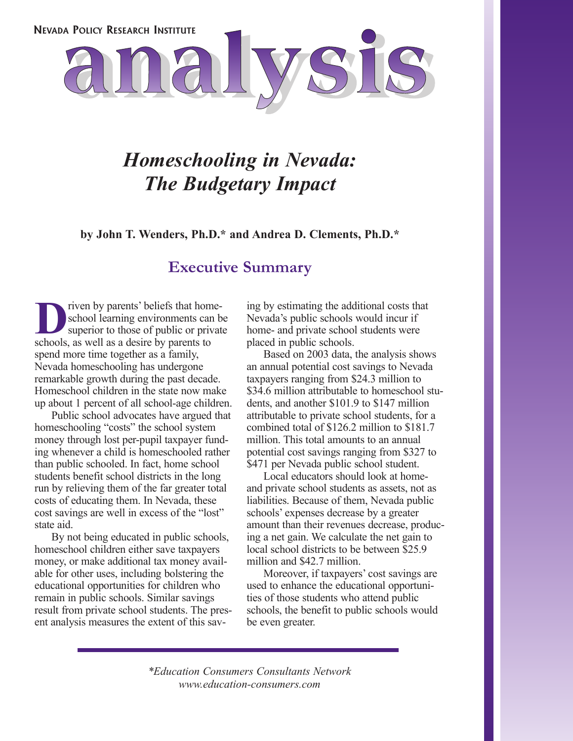

## *Homeschooling in Nevada: The Budgetary Impact*

**by John T. Wenders, Ph.D.\* and Andrea D. Clements, Ph.D.\***

### **Executive Summary**

**DERR** IV parents' beliefs that home-<br>
superior to those of public or private<br>
schools as well as a desire by parents to school learning environments can be schools, as well as a desire by parents to spend more time together as a family, Nevada homeschooling has undergone remarkable growth during the past decade. Homeschool children in the state now make up about 1 percent of all school-age children.

Public school advocates have argued that homeschooling "costs" the school system money through lost per-pupil taxpayer funding whenever a child is homeschooled rather than public schooled. In fact, home school students benefit school districts in the long run by relieving them of the far greater total costs of educating them. In Nevada, these cost savings are well in excess of the "lost" state aid.

By not being educated in public schools, homeschool children either save taxpayers money, or make additional tax money available for other uses, including bolstering the educational opportunities for children who remain in public schools. Similar savings result from private school students. The present analysis measures the extent of this saving by estimating the additional costs that Nevada's public schools would incur if home- and private school students were placed in public schools.

Based on 2003 data, the analysis shows an annual potential cost savings to Nevada taxpayers ranging from \$24.3 million to \$34.6 million attributable to homeschool students, and another \$101.9 to \$147 million attributable to private school students, for a combined total of \$126.2 million to \$181.7 million. This total amounts to an annual potential cost savings ranging from \$327 to \$471 per Nevada public school student.

Local educators should look at homeand private school students as assets, not as liabilities. Because of them, Nevada public schools' expenses decrease by a greater amount than their revenues decrease, producing a net gain. We calculate the net gain to local school districts to be between \$25.9 million and \$42.7 million.

Moreover, if taxpayers' cost savings are used to enhance the educational opportunities of those students who attend public schools, the benefit to public schools would be even greater.

*\*Education Consumers Consultants Network www.education-consumers.com*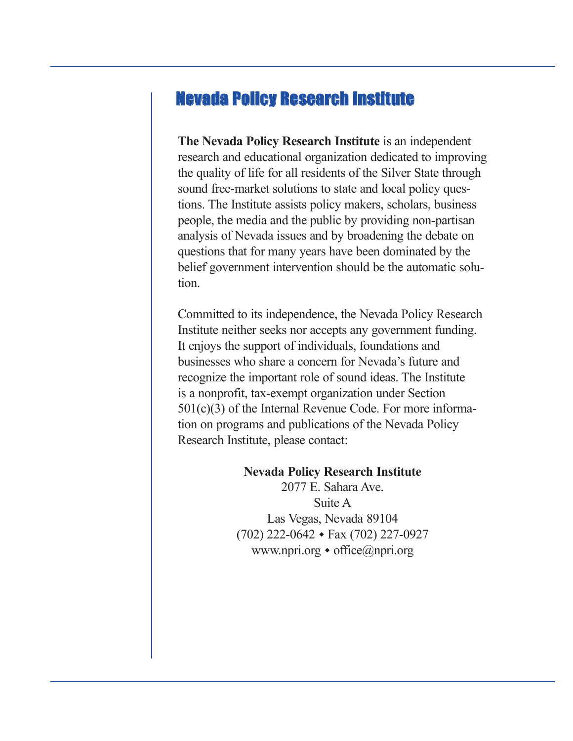### Nevada Policy Research Institute

**The Nevada Policy Research Institute** is an independent research and educational organization dedicated to improving the quality of life for all residents of the Silver State through sound free-market solutions to state and local policy questions. The Institute assists policy makers, scholars, business people, the media and the public by providing non-partisan analysis of Nevada issues and by broadening the debate on questions that for many years have been dominated by the belief government intervention should be the automatic solution.

Committed to its independence, the Nevada Policy Research Institute neither seeks nor accepts any government funding. It enjoys the support of individuals, foundations and businesses who share a concern for Nevada's future and recognize the important role of sound ideas. The Institute is a nonprofit, tax-exempt organization under Section 501(c)(3) of the Internal Revenue Code. For more information on programs and publications of the Nevada Policy Research Institute, please contact:

### **Nevada Policy Research Institute**

2077 E. Sahara Ave. Suite A Las Vegas, Nevada 89104  $(702)$  222-0642  $\cdot$  Fax  $(702)$  227-0927 www.npri.org  $\bullet$  office@npri.org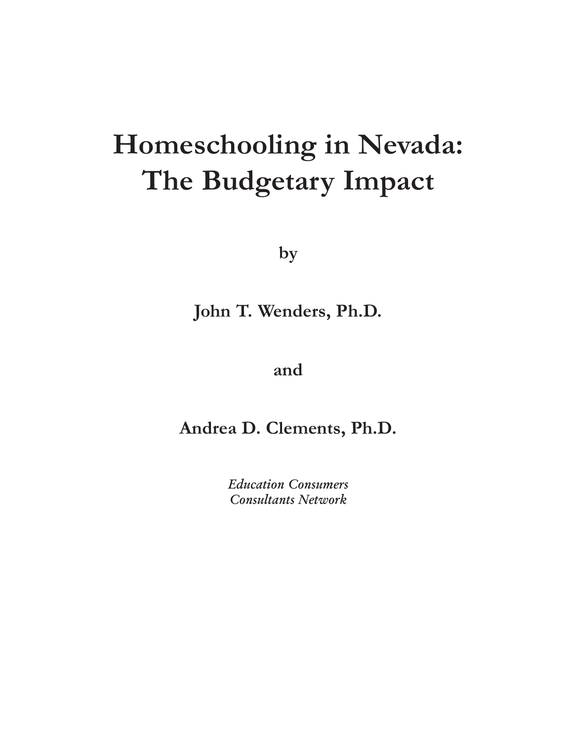# **Homeschooling in Nevada: The Budgetary Impact**

**by** 

### **John T. Wenders, Ph.D.**

**and** 

**Andrea D. Clements, Ph.D.**

*Education Consumers Consultants Network*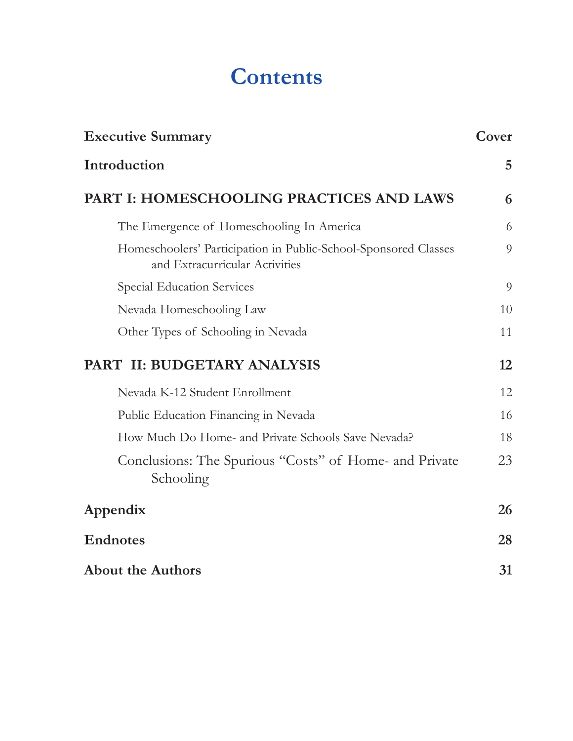# **Contents**

| <b>Executive Summary</b>                                                                          | Cover |
|---------------------------------------------------------------------------------------------------|-------|
| Introduction                                                                                      | 5     |
| PART I: HOMESCHOOLING PRACTICES AND LAWS                                                          | 6     |
| The Emergence of Homeschooling In America                                                         | 6     |
| Homeschoolers' Participation in Public-School-Sponsored Classes<br>and Extracurricular Activities | 9     |
| Special Education Services                                                                        | 9     |
| Nevada Homeschooling Law                                                                          | 10    |
| Other Types of Schooling in Nevada                                                                | 11    |
| PART II: BUDGETARY ANALYSIS                                                                       | 12    |
| Nevada K-12 Student Enrollment                                                                    | 12    |
| Public Education Financing in Nevada                                                              | 16    |
| How Much Do Home- and Private Schools Save Nevada?                                                | 18    |
| Conclusions: The Spurious "Costs" of Home- and Private<br>Schooling                               | 23    |
| Appendix                                                                                          | 26    |
| <b>Endnotes</b>                                                                                   | 28    |
| <b>About the Authors</b>                                                                          | 31    |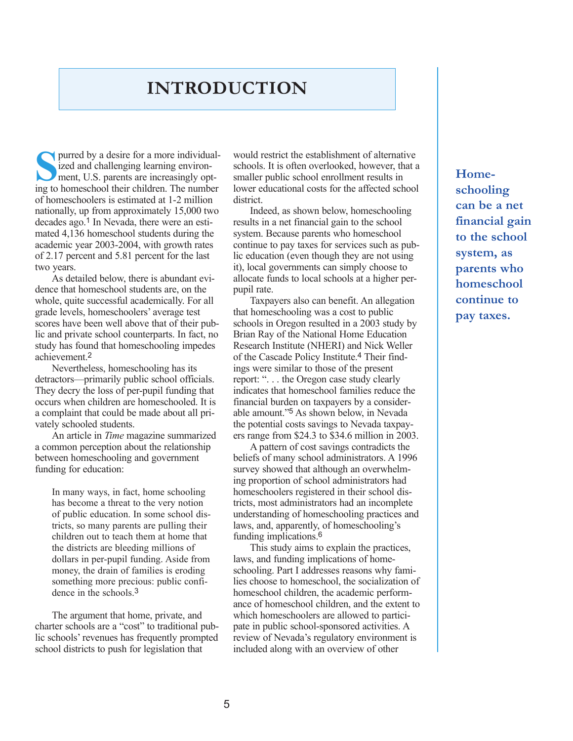### **INTRODUCTION**

**S**purred by a desire for a more individualized and challenging learning environment, U.S. parents are increasingly opting to homeschool their children. The number of homeschoolers is estimated at 1-2 million nationally, up from approximately 15,000 two decades ago.1 In Nevada, there were an estimated 4,136 homeschool students during the academic year 2003-2004, with growth rates of 2.17 percent and 5.81 percent for the last two years.

As detailed below, there is abundant evidence that homeschool students are, on the whole, quite successful academically. For all grade levels, homeschoolers' average test scores have been well above that of their public and private school counterparts. In fact, no study has found that homeschooling impedes achievement.2

Nevertheless, homeschooling has its detractors—primarily public school officials. They decry the loss of per-pupil funding that occurs when children are homeschooled. It is a complaint that could be made about all privately schooled students.

An article in *Time* magazine summarized a common perception about the relationship between homeschooling and government funding for education:

In many ways, in fact, home schooling has become a threat to the very notion of public education. In some school districts, so many parents are pulling their children out to teach them at home that the districts are bleeding millions of dollars in per-pupil funding. Aside from money, the drain of families is eroding something more precious: public confidence in the schools.3

The argument that home, private, and charter schools are a "cost" to traditional public schools' revenues has frequently prompted school districts to push for legislation that

would restrict the establishment of alternative schools. It is often overlooked, however, that a smaller public school enrollment results in lower educational costs for the affected school district.

Indeed, as shown below, homeschooling results in a net financial gain to the school system. Because parents who homeschool continue to pay taxes for services such as public education (even though they are not using it), local governments can simply choose to allocate funds to local schools at a higher perpupil rate.

Taxpayers also can benefit. An allegation that homeschooling was a cost to public schools in Oregon resulted in a 2003 study by Brian Ray of the National Home Education Research Institute (NHERI) and Nick Weller of the Cascade Policy Institute.4 Their findings were similar to those of the present report: ". . . the Oregon case study clearly indicates that homeschool families reduce the financial burden on taxpayers by a considerable amount."5 As shown below, in Nevada the potential costs savings to Nevada taxpayers range from \$24.3 to \$34.6 million in 2003.

A pattern of cost savings contradicts the beliefs of many school administrators. A 1996 survey showed that although an overwhelming proportion of school administrators had homeschoolers registered in their school districts, most administrators had an incomplete understanding of homeschooling practices and laws, and, apparently, of homeschooling's funding implications.6

This study aims to explain the practices, laws, and funding implications of homeschooling. Part I addresses reasons why families choose to homeschool, the socialization of homeschool children, the academic performance of homeschool children, and the extent to which homeschoolers are allowed to participate in public school-sponsored activities. A review of Nevada's regulatory environment is included along with an overview of other

**Homeschooling can be a net financial gain to the school system, as parents who homeschool continue to pay taxes.**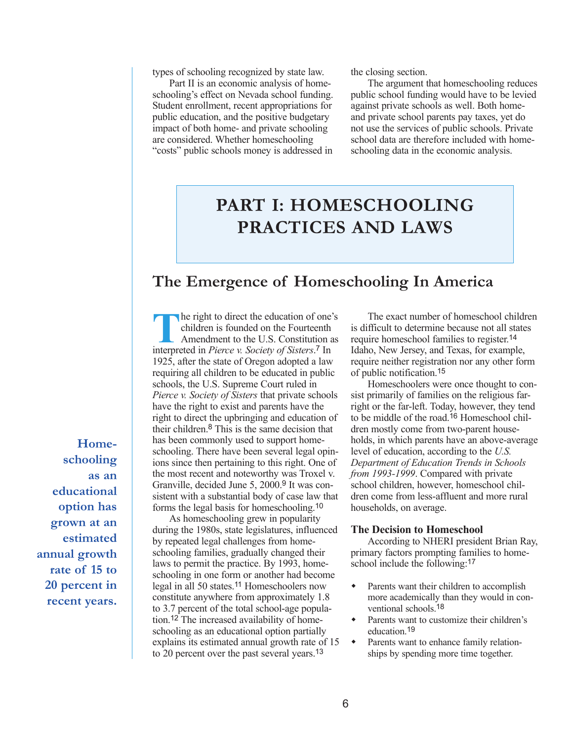types of schooling recognized by state law.

Part II is an economic analysis of homeschooling's effect on Nevada school funding. Student enrollment, recent appropriations for public education, and the positive budgetary impact of both home- and private schooling are considered. Whether homeschooling "costs" public schools money is addressed in the closing section.

The argument that homeschooling reduces public school funding would have to be levied against private schools as well. Both homeand private school parents pay taxes, yet do not use the services of public schools. Private school data are therefore included with homeschooling data in the economic analysis.

## **PART I: HOMESCHOOLING PRACTICES AND LAWS**

### **The Emergence of Homeschooling In America**

The right to direct the education of one's children is founded on the Fourteenth Amendment to the U.S. Constitution as interpreted in *Pierce v. Society of Sisters*. 7 In 1925, after the state of Oregon adopted a law requiring all children to be educated in public schools, the U.S. Supreme Court ruled in *Pierce v. Society of Sisters* that private schools have the right to exist and parents have the right to direct the upbringing and education of their children.8 This is the same decision that has been commonly used to support homeschooling. There have been several legal opinions since then pertaining to this right. One of the most recent and noteworthy was Troxel v. Granville, decided June 5, 2000.9 It was consistent with a substantial body of case law that forms the legal basis for homeschooling.10

As homeschooling grew in popularity during the 1980s, state legislatures, influenced by repeated legal challenges from homeschooling families, gradually changed their laws to permit the practice. By 1993, homeschooling in one form or another had become legal in all 50 states.11 Homeschoolers now constitute anywhere from approximately 1.8 to 3.7 percent of the total school-age population.12 The increased availability of homeschooling as an educational option partially explains its estimated annual growth rate of 15 to 20 percent over the past several years.13

The exact number of homeschool children is difficult to determine because not all states require homeschool families to register.14 Idaho, New Jersey, and Texas, for example, require neither registration nor any other form of public notification.15

Homeschoolers were once thought to consist primarily of families on the religious farright or the far-left. Today, however, they tend to be middle of the road.16 Homeschool children mostly come from two-parent households, in which parents have an above-average level of education, according to the *U.S. Department of Education Trends in Schools from 1993-1999*. Compared with private school children, however, homeschool children come from less-affluent and more rural households, on average.

#### **The Decision to Homeschool**

According to NHERI president Brian Ray, primary factors prompting families to homeschool include the following:<sup>17</sup>

- Parents want their children to accomplish more academically than they would in conventional schools.18
- Parents want to customize their children's education 19
- Parents want to enhance family relationships by spending more time together.

**Homeschooling as an educational option has grown at an estimated annual growth rate of 15 to 20 percent in recent years.**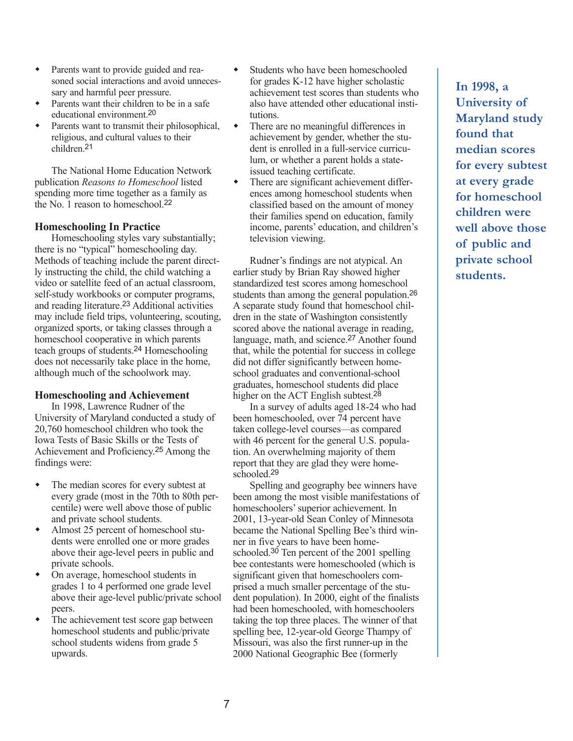- Parents want to provide guided and reasoned social interactions and avoid unnecessary and harmful peer pressure.
- Parents want their children to be in a safe educational environment.20
- Parents want to transmit their philosophical. religious, and cultural values to their children<sup>21</sup>

The National Home Education Network publication *Reasons to Homeschool* listed spending more time together as a family as the No. 1 reason to homeschool.22

#### **Homeschooling In Practice**

Homeschooling styles vary substantially; there is no "typical" homeschooling day. Methods of teaching include the parent directly instructing the child, the child watching a video or satellite feed of an actual classroom, self-study workbooks or computer programs, and reading literature.23 Additional activities may include field trips, volunteering, scouting, organized sports, or taking classes through a homeschool cooperative in which parents teach groups of students.24 Homeschooling does not necessarily take place in the home, although much of the schoolwork may.

#### **Homeschooling and Achievement**

In 1998, Lawrence Rudner of the University of Maryland conducted a study of 20,760 homeschool children who took the Iowa Tests of Basic Skills or the Tests of Achievement and Proficiency.25 Among the findings were:

- The median scores for every subtest at every grade (most in the 70th to 80th percentile) were well above those of public and private school students.
- Almost 25 percent of homeschool students were enrolled one or more grades above their age-level peers in public and private schools.
- On average, homeschool students in grades 1 to 4 performed one grade level above their age-level public/private school peers.
- The achievement test score gap between homeschool students and public/private school students widens from grade 5 upwards.
- Students who have been homeschooled for grades K-12 have higher scholastic achievement test scores than students who also have attended other educational institutions.
- There are no meaningful differences in achievement by gender, whether the student is enrolled in a full-service curriculum, or whether a parent holds a stateissued teaching certificate.
- There are significant achievement differences among homeschool students when classified based on the amount of money their families spend on education, family income, parents' education, and children's television viewing.

Rudner's findings are not atypical. An earlier study by Brian Ray showed higher standardized test scores among homeschool students than among the general population.26 A separate study found that homeschool children in the state of Washington consistently scored above the national average in reading, language, math, and science.<sup>27</sup> Another found that, while the potential for success in college did not differ significantly between homeschool graduates and conventional-school graduates, homeschool students did place higher on the ACT English subtest.<sup>28</sup>

In a survey of adults aged 18-24 who had been homeschooled, over 74 percent have taken college-level courses—as compared with 46 percent for the general U.S. population. An overwhelming majority of them report that they are glad they were homeschooled.29

Spelling and geography bee winners have been among the most visible manifestations of homeschoolers' superior achievement. In 2001, 13-year-old Sean Conley of Minnesota became the National Spelling Bee's third winner in five years to have been homeschooled.<sup>30</sup> Ten percent of the 2001 spelling bee contestants were homeschooled (which is significant given that homeschoolers comprised a much smaller percentage of the student population). In 2000, eight of the finalists had been homeschooled, with homeschoolers taking the top three places. The winner of that spelling bee, 12-year-old George Thampy of Missouri, was also the first runner-up in the 2000 National Geographic Bee (formerly

**In 1998, a University of Maryland study found that median scores for every subtest at every grade for homeschool children were well above those of public and private school students.**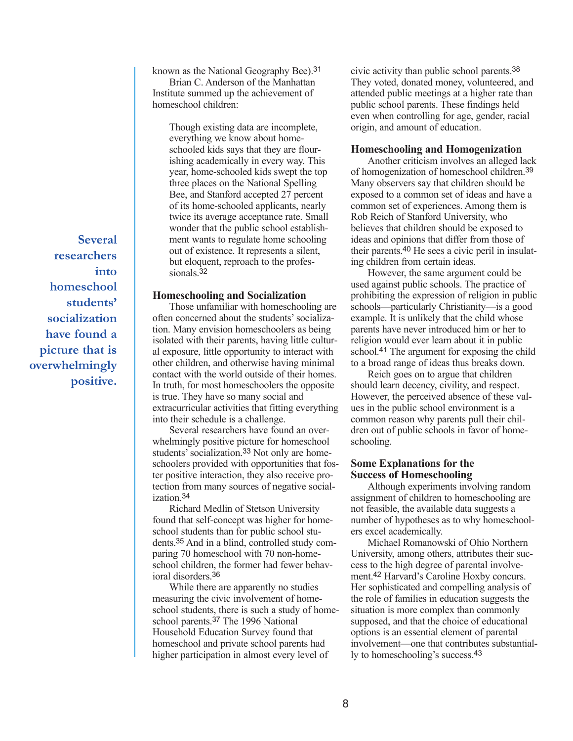**Several researchers into homeschool students' socialization have found a picture that is overwhelmingly positive.** known as the National Geography Bee).31

Brian C. Anderson of the Manhattan Institute summed up the achievement of homeschool children:

> Though existing data are incomplete, everything we know about homeschooled kids says that they are flourishing academically in every way. This year, home-schooled kids swept the top three places on the National Spelling Bee, and Stanford accepted 27 percent of its home-schooled applicants, nearly twice its average acceptance rate. Small wonder that the public school establishment wants to regulate home schooling out of existence. It represents a silent, but eloquent, reproach to the professionals.<sup>32</sup>

#### **Homeschooling and Socialization**

Those unfamiliar with homeschooling are often concerned about the students' socialization. Many envision homeschoolers as being isolated with their parents, having little cultural exposure, little opportunity to interact with other children, and otherwise having minimal contact with the world outside of their homes. In truth, for most homeschoolers the opposite is true. They have so many social and extracurricular activities that fitting everything into their schedule is a challenge.

Several researchers have found an overwhelmingly positive picture for homeschool students' socialization.33 Not only are homeschoolers provided with opportunities that foster positive interaction, they also receive protection from many sources of negative socialization.34

Richard Medlin of Stetson University found that self-concept was higher for homeschool students than for public school students.35 And in a blind, controlled study comparing 70 homeschool with 70 non-homeschool children, the former had fewer behavioral disorders.36

While there are apparently no studies measuring the civic involvement of homeschool students, there is such a study of homeschool parents.37 The 1996 National Household Education Survey found that homeschool and private school parents had higher participation in almost every level of

civic activity than public school parents.38 They voted, donated money, volunteered, and attended public meetings at a higher rate than public school parents. These findings held even when controlling for age, gender, racial origin, and amount of education.

#### **Homeschooling and Homogenization**

Another criticism involves an alleged lack of homogenization of homeschool children.39 Many observers say that children should be exposed to a common set of ideas and have a common set of experiences. Among them is Rob Reich of Stanford University, who believes that children should be exposed to ideas and opinions that differ from those of their parents.40 He sees a civic peril in insulating children from certain ideas.

However, the same argument could be used against public schools. The practice of prohibiting the expression of religion in public schools—particularly Christianity—is a good example. It is unlikely that the child whose parents have never introduced him or her to religion would ever learn about it in public school.41 The argument for exposing the child to a broad range of ideas thus breaks down.

Reich goes on to argue that children should learn decency, civility, and respect. However, the perceived absence of these values in the public school environment is a common reason why parents pull their children out of public schools in favor of homeschooling.

#### **Some Explanations for the Success of Homeschooling**

Although experiments involving random assignment of children to homeschooling are not feasible, the available data suggests a number of hypotheses as to why homeschoolers excel academically.

Michael Romanowski of Ohio Northern University, among others, attributes their success to the high degree of parental involvement.42 Harvard's Caroline Hoxby concurs. Her sophisticated and compelling analysis of the role of families in education suggests the situation is more complex than commonly supposed, and that the choice of educational options is an essential element of parental involvement—one that contributes substantially to homeschooling's success.43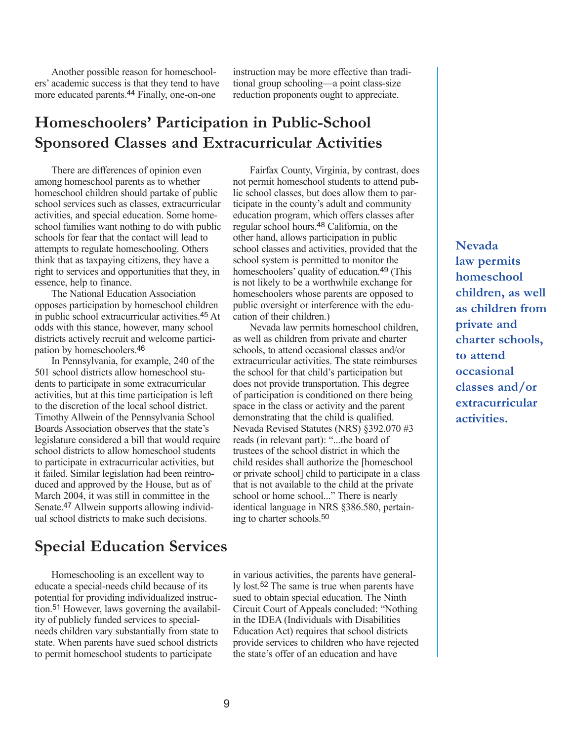Another possible reason for homeschoolers' academic success is that they tend to have more educated parents.44 Finally, one-on-one

instruction may be more effective than traditional group schooling—a point class-size reduction proponents ought to appreciate.

### **Homeschoolers' Participation in Public-School Sponsored Classes and Extracurricular Activities**

There are differences of opinion even among homeschool parents as to whether homeschool children should partake of public school services such as classes, extracurricular activities, and special education. Some homeschool families want nothing to do with public schools for fear that the contact will lead to attempts to regulate homeschooling. Others think that as taxpaying citizens, they have a right to services and opportunities that they, in essence, help to finance.

The National Education Association opposes participation by homeschool children in public school extracurricular activities.45 At odds with this stance, however, many school districts actively recruit and welcome participation by homeschoolers.46

In Pennsylvania, for example, 240 of the 501 school districts allow homeschool students to participate in some extracurricular activities, but at this time participation is left to the discretion of the local school district. Timothy Allwein of the Pennsylvania School Boards Association observes that the state's legislature considered a bill that would require school districts to allow homeschool students to participate in extracurricular activities, but it failed. Similar legislation had been reintroduced and approved by the House, but as of March 2004, it was still in committee in the Senate.47 Allwein supports allowing individual school districts to make such decisions.

### **Special Education Services**

Homeschooling is an excellent way to educate a special-needs child because of its potential for providing individualized instruction.51 However, laws governing the availability of publicly funded services to specialneeds children vary substantially from state to state. When parents have sued school districts to permit homeschool students to participate

Fairfax County, Virginia, by contrast, does not permit homeschool students to attend public school classes, but does allow them to participate in the county's adult and community education program, which offers classes after regular school hours.48 California, on the other hand, allows participation in public school classes and activities, provided that the school system is permitted to monitor the homeschoolers' quality of education.49 (This is not likely to be a worthwhile exchange for homeschoolers whose parents are opposed to public oversight or interference with the education of their children.)

Nevada law permits homeschool children, as well as children from private and charter schools, to attend occasional classes and/or extracurricular activities. The state reimburses the school for that child's participation but does not provide transportation. This degree of participation is conditioned on there being space in the class or activity and the parent demonstrating that the child is qualified. Nevada Revised Statutes (NRS) §392.070 #3 reads (in relevant part): "...the board of trustees of the school district in which the child resides shall authorize the [homeschool or private school] child to participate in a class that is not available to the child at the private school or home school..." There is nearly identical language in NRS §386.580, pertaining to charter schools.50

in various activities, the parents have generally lost.52 The same is true when parents have sued to obtain special education. The Ninth Circuit Court of Appeals concluded: "Nothing in the IDEA (Individuals with Disabilities Education Act) requires that school districts provide services to children who have rejected the state's offer of an education and have

**Nevada law permits homeschool children, as well as children from private and charter schools, to attend occasional classes and/or extracurricular activities.**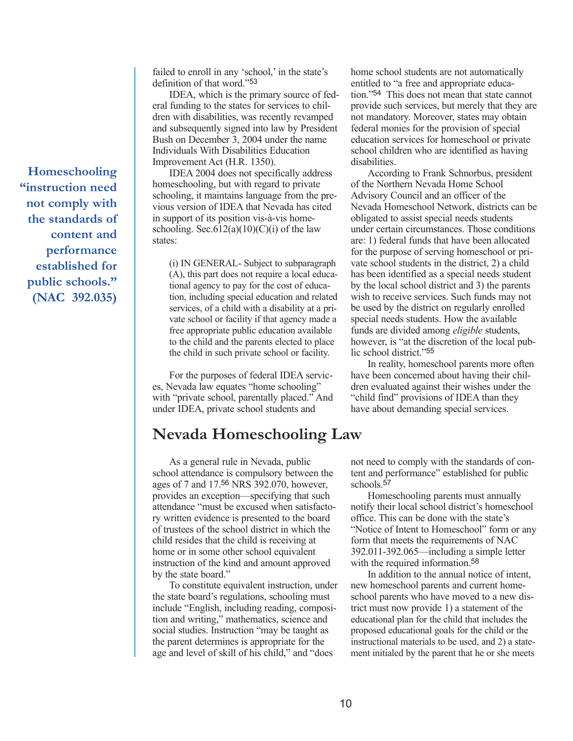**Homeschooling "instruction need not comply with the standards of content and performance established for public schools." (NAC 392.035)** failed to enroll in any 'school,' in the state's definition of that word."53

IDEA, which is the primary source of federal funding to the states for services to children with disabilities, was recently revamped and subsequently signed into law by President Bush on December 3, 2004 under the name Individuals With Disabilities Education Improvement Act (H.R. 1350).

IDEA 2004 does not specifically address homeschooling, but with regard to private schooling, it maintains language from the previous version of IDEA that Nevada has cited in support of its position vis-à-vis homeschooling. Sec.612(a)(10)(C)(i) of the law states:

(i) IN GENERAL- Subject to subparagraph (A), this part does not require a local educational agency to pay for the cost of education, including special education and related services, of a child with a disability at a private school or facility if that agency made a free appropriate public education available to the child and the parents elected to place the child in such private school or facility.

For the purposes of federal IDEA services, Nevada law equates "home schooling" with "private school, parentally placed." And under IDEA, private school students and

### **Nevada Homeschooling Law**

As a general rule in Nevada, public school attendance is compulsory between the ages of 7 and 17.56 NRS 392.070, however, provides an exception—specifying that such attendance "must be excused when satisfactory written evidence is presented to the board of trustees of the school district in which the child resides that the child is receiving at home or in some other school equivalent instruction of the kind and amount approved by the state board."

To constitute equivalent instruction, under the state board's regulations, schooling must include "English, including reading, composition and writing," mathematics, science and social studies. Instruction "may be taught as the parent determines is appropriate for the age and level of skill of his child," and "does

home school students are not automatically entitled to "a free and appropriate education."54 This does not mean that state cannot provide such services, but merely that they are not mandatory. Moreover, states may obtain federal monies for the provision of special education services for homeschool or private school children who are identified as having disabilities.

According to Frank Schnorbus, president of the Northern Nevada Home School Advisory Council and an officer of the Nevada Homeschool Network, districts can be obligated to assist special needs students under certain circumstances. Those conditions are: 1) federal funds that have been allocated for the purpose of serving homeschool or private school students in the district, 2) a child has been identified as a special needs student by the local school district and 3) the parents wish to receive services. Such funds may not be used by the district on regularly enrolled special needs students. How the available funds are divided among *eligible* students, however, is "at the discretion of the local public school district."55

In reality, homeschool parents more often have been concerned about having their children evaluated against their wishes under the "child find" provisions of IDEA than they have about demanding special services.

not need to comply with the standards of content and performance" established for public schools.57

Homeschooling parents must annually notify their local school district's homeschool office. This can be done with the state's "Notice of Intent to Homeschool" form or any form that meets the requirements of NAC 392.011-392.065—including a simple letter with the required information.<sup>58</sup>

In addition to the annual notice of intent, new homeschool parents and current homeschool parents who have moved to a new district must now provide 1) a statement of the educational plan for the child that includes the proposed educational goals for the child or the instructional materials to be used, and 2) a statement initialed by the parent that he or she meets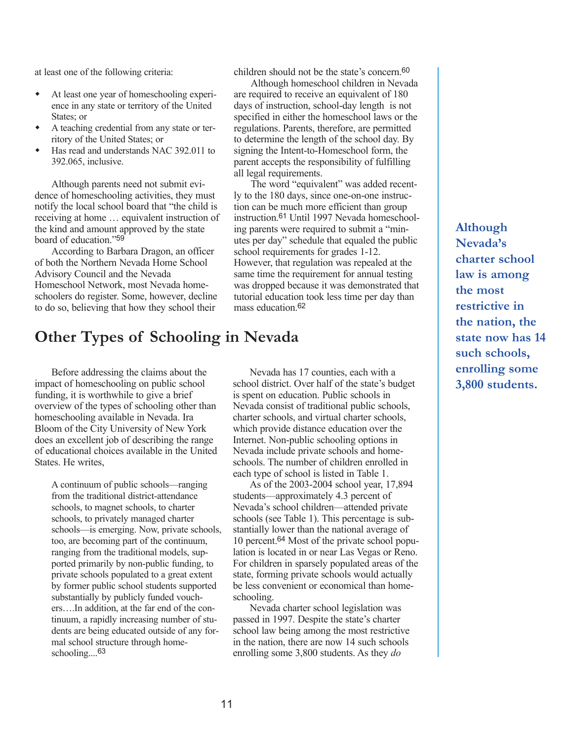at least one of the following criteria:

- At least one year of homeschooling experience in any state or territory of the United States; or
- A teaching credential from any state or territory of the United States; or
- Has read and understands NAC 392.011 to 392.065, inclusive.

Although parents need not submit evidence of homeschooling activities, they must notify the local school board that "the child is receiving at home … equivalent instruction of the kind and amount approved by the state board of education."59

According to Barbara Dragon, an officer of both the Northern Nevada Home School Advisory Council and the Nevada Homeschool Network, most Nevada homeschoolers do register. Some, however, decline to do so, believing that how they school their

### **Other Types of Schooling in Nevada**

Before addressing the claims about the impact of homeschooling on public school funding, it is worthwhile to give a brief overview of the types of schooling other than homeschooling available in Nevada. Ira Bloom of the City University of New York does an excellent job of describing the range of educational choices available in the United States. He writes,

A continuum of public schools—ranging from the traditional district-attendance schools, to magnet schools, to charter schools, to privately managed charter schools—is emerging. Now, private schools, too, are becoming part of the continuum, ranging from the traditional models, supported primarily by non-public funding, to private schools populated to a great extent by former public school students supported substantially by publicly funded vouchers….In addition, at the far end of the continuum, a rapidly increasing number of students are being educated outside of any formal school structure through homeschooling....63

Nevada has 17 counties, each with a school district. Over half of the state's budget is spent on education. Public schools in Nevada consist of traditional public schools, charter schools, and virtual charter schools, which provide distance education over the Internet. Non-public schooling options in Nevada include private schools and homeschools. The number of children enrolled in each type of school is listed in Table 1.

children should not be the state's concern.60 Although homeschool children in Nevada are required to receive an equivalent of 180 days of instruction, school-day length is not specified in either the homeschool laws or the regulations. Parents, therefore, are permitted to determine the length of the school day. By signing the Intent-to-Homeschool form, the parent accepts the responsibility of fulfilling

The word "equivalent" was added recently to the 180 days, since one-on-one instruction can be much more efficient than group instruction.61 Until 1997 Nevada homeschooling parents were required to submit a "minutes per day" schedule that equaled the public

school requirements for grades 1-12.

However, that regulation was repealed at the same time the requirement for annual testing was dropped because it was demonstrated that tutorial education took less time per day than

all legal requirements.

mass education.62

As of the 2003-2004 school year, 17,894 students—approximately 4.3 percent of Nevada's school children—attended private schools (see Table 1). This percentage is substantially lower than the national average of 10 percent.64 Most of the private school population is located in or near Las Vegas or Reno. For children in sparsely populated areas of the state, forming private schools would actually be less convenient or economical than homeschooling.

Nevada charter school legislation was passed in 1997. Despite the state's charter school law being among the most restrictive in the nation, there are now 14 such schools enrolling some 3,800 students. As they *do*

**Although Nevada's charter school law is among the most restrictive in the nation, the state now has 14 such schools, enrolling some 3,800 students.**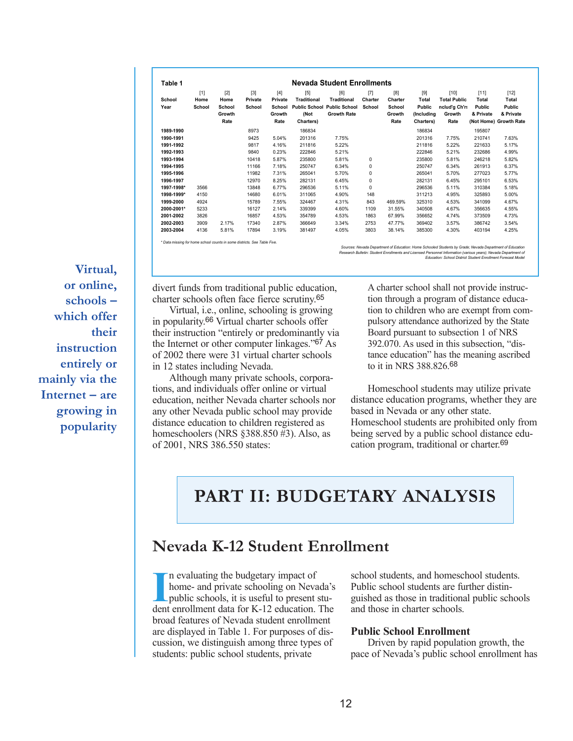| Table 1        |                         |                                           |                            |                                                     |                                                                                        | Nevada Student Enrollments                      |                            |                                            |                                                            |                                                                  |                                               |                                                                  |
|----------------|-------------------------|-------------------------------------------|----------------------------|-----------------------------------------------------|----------------------------------------------------------------------------------------|-------------------------------------------------|----------------------------|--------------------------------------------|------------------------------------------------------------|------------------------------------------------------------------|-----------------------------------------------|------------------------------------------------------------------|
| School<br>Year | $[1]$<br>Home<br>School | $[2]$<br>Home<br>School<br>Growth<br>Rate | $[3]$<br>Private<br>School | $[4]$<br>Private<br><b>School</b><br>Growth<br>Rate | $[5]$<br><b>Traditional</b><br><b>Public School Public School</b><br>(Not<br>Charters) | [6]<br><b>Traditional</b><br><b>Growth Rate</b> | $[7]$<br>Charter<br>School | [8]<br>Charter<br>School<br>Growth<br>Rate | $[9]$<br>Total<br><b>Public</b><br>(Includina<br>Charters) | $[10]$<br><b>Total Public</b><br>nclud'g Ch'rs<br>Growth<br>Rate | $[11]$<br>Total<br><b>Public</b><br>& Private | $[12]$<br>Total<br>Public<br>& Private<br>(Not Home) Growth Rate |
| 1989-1990      |                         |                                           | 8973                       |                                                     | 186834                                                                                 |                                                 |                            |                                            | 186834                                                     |                                                                  | 195807                                        |                                                                  |
| 1990-1991      |                         |                                           | 9425                       | 5.04%                                               | 201316                                                                                 | 7.75%                                           |                            |                                            | 201316                                                     | 7.75%                                                            | 210741                                        | 7.63%                                                            |
| 1991-1992      |                         |                                           | 9817                       | 4.16%                                               | 211816                                                                                 | 5.22%                                           |                            |                                            | 211816                                                     | 5.22%                                                            | 221633                                        | 5.17%                                                            |
| 1992-1993      |                         |                                           | 9840                       | 0.23%                                               | 222846                                                                                 | 5.21%                                           |                            |                                            | 222846                                                     | 5.21%                                                            | 232686                                        | 4.99%                                                            |
| 1993-1994      |                         |                                           | 10418                      | 5.87%                                               | 235800                                                                                 | 5.81%                                           | 0                          |                                            | 235800                                                     | 5.81%                                                            | 246218                                        | 5.82%                                                            |
| 1994-1995      |                         |                                           | 11166                      | 7.18%                                               | 250747                                                                                 | 6.34%                                           | 0                          |                                            | 250747                                                     | 6.34%                                                            | 261913                                        | 6.37%                                                            |
| 1995-1996      |                         |                                           | 11982                      | 7.31%                                               | 265041                                                                                 | 5.70%                                           | $\mathbf 0$                |                                            | 265041                                                     | 5.70%                                                            | 277023                                        | 5.77%                                                            |
| 1996-1997      |                         |                                           | 12970                      | 8.25%                                               | 282131                                                                                 | 6.45%                                           | $\mathbf 0$                |                                            | 282131                                                     | 6.45%                                                            | 295101                                        | 6.53%                                                            |
| 1997-1998*     | 3566                    |                                           | 13848                      | 6.77%                                               | 296536                                                                                 | 5.11%                                           | $\mathbf 0$                |                                            | 296536                                                     | 5.11%                                                            | 310384                                        | 5.18%                                                            |
| 1998-1999*     | 4150                    |                                           | 14680                      | 6.01%                                               | 311065                                                                                 | 4.90%                                           | 148                        |                                            | 311213                                                     | 4.95%                                                            | 325893                                        | 5.00%                                                            |
| 1999-2000      | 4924                    |                                           | 15789                      | 7.55%                                               | 324467                                                                                 | 4.31%                                           | 843                        | 469.59%                                    | 325310                                                     | 4.53%                                                            | 341099                                        | 4.67%                                                            |
| 2000-2001*     | 5233                    |                                           | 16127                      | 2.14%                                               | 339399                                                                                 | 4.60%                                           | 1109                       | 31.55%                                     | 340508                                                     | 4.67%                                                            | 356635                                        | 4.55%                                                            |
| 2001-2002      | 3826                    |                                           | 16857                      | 4.53%                                               | 354789                                                                                 | 4.53%                                           | 1863                       | 67.99%                                     | 356652                                                     | 4.74%                                                            | 373509                                        | 4.73%                                                            |
| 2002-2003      | 3909                    | 2.17%                                     | 17340                      | 2.87%                                               | 366649                                                                                 | 3.34%                                           | 2753                       | 47.77%                                     | 369402                                                     | 3.57%                                                            | 386742                                        | 3.54%                                                            |
| 2003-2004      | 4136                    | 5.81%                                     | 17894                      | 3.19%                                               | 381497                                                                                 | 4.05%                                           | 3803                       | 38.14%                                     | 385300                                                     | 4.30%                                                            | 403194                                        | 4.25%                                                            |

*\* Data missing for home school counts in some districts. See Table Five.*

Sources: Nevada Department of Education: Home Schooled Students by Grade; Nevada Department of Education<br>Research Bulletin: Student Enrollments and Licensed Personnel Information (various years); Nevada Department o<br>Educat

**Virtual, or online, schools – which offer their instruction entirely or mainly via the Internet – are growing in popularity**

divert funds from traditional public education, charter schools often face fierce scrutiny.65

Virtual, i.e., online, schooling is growing in popularity.66 Virtual charter schools offer their instruction "entirely or predominantly via the Internet or other computer linkages."67 As of 2002 there were 31 virtual charter schools in 12 states including Nevada.

Although many private schools, corporations, and individuals offer online or virtual education, neither Nevada charter schools nor any other Nevada public school may provide distance education to children registered as homeschoolers (NRS §388.850 #3). Also, as of 2001, NRS 386.550 states:

A charter school shall not provide instruction through a program of distance education to children who are exempt from compulsory attendance authorized by the State Board pursuant to subsection 1 of NRS 392.070. As used in this subsection, "distance education" has the meaning ascribed to it in NRS 388.826.68

Homeschool students may utilize private distance education programs, whether they are based in Nevada or any other state. Homeschool students are prohibited only from being served by a public school distance education program, traditional or charter.69

### **PART II: BUDGETARY ANALYSIS**

### **Nevada K-12 Student Enrollment**

In evaluating the budgetary impact of<br>
home- and private schooling on Nevada's<br>
public schools, it is useful to present stu-<br>
dent enrollment data for K-12 education. The n evaluating the budgetary impact of home- and private schooling on Nevada's public schools, it is useful to present stubroad features of Nevada student enrollment are displayed in Table 1. For purposes of discussion, we distinguish among three types of students: public school students, private

school students, and homeschool students. Public school students are further distinguished as those in traditional public schools and those in charter schools.

#### **Public School Enrollment**

Driven by rapid population growth, the pace of Nevada's public school enrollment has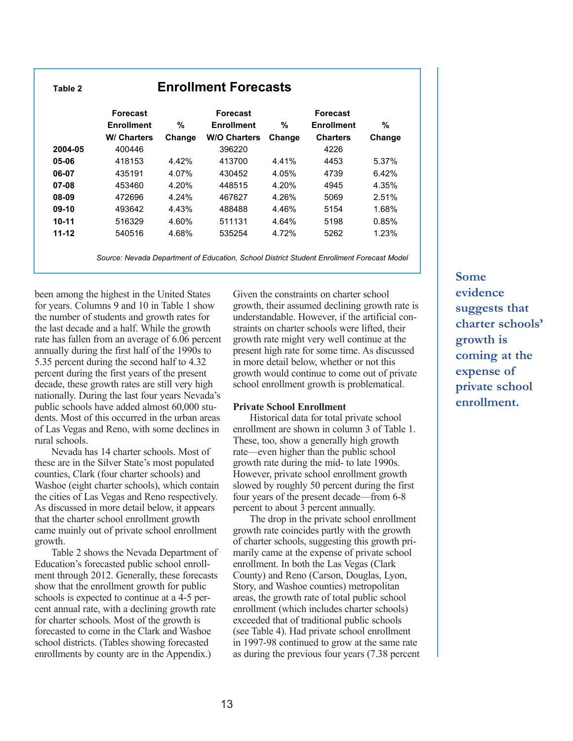| Table 2   | <b>Enrollment Forecasts</b>          |        |                                      |        |                                      |        |  |  |  |  |  |  |
|-----------|--------------------------------------|--------|--------------------------------------|--------|--------------------------------------|--------|--|--|--|--|--|--|
|           | <b>Forecast</b><br><b>Enrollment</b> | %      | <b>Forecast</b><br><b>Enrollment</b> | %      | <b>Forecast</b><br><b>Enrollment</b> | %      |  |  |  |  |  |  |
|           | <b>W/ Charters</b>                   | Change | <b>W/O Charters</b>                  | Change | <b>Charters</b>                      | Change |  |  |  |  |  |  |
| 2004-05   | 400446                               |        | 396220                               |        | 4226                                 |        |  |  |  |  |  |  |
| 05-06     | 418153                               | 4.42%  | 413700                               | 4.41%  | 4453                                 | 5.37%  |  |  |  |  |  |  |
| 06-07     | 435191                               | 4.07%  | 430452                               | 4.05%  | 4739                                 | 6.42%  |  |  |  |  |  |  |
| 07-08     | 453460                               | 4.20%  | 448515                               | 4.20%  | 4945                                 | 4.35%  |  |  |  |  |  |  |
| 08-09     | 472696                               | 4.24%  | 467627                               | 4.26%  | 5069                                 | 2.51%  |  |  |  |  |  |  |
| 09-10     | 493642                               | 4.43%  | 488488                               | 4.46%  | 5154                                 | 1.68%  |  |  |  |  |  |  |
| $10 - 11$ | 516329                               | 4.60%  | 511131                               | 4.64%  | 5198                                 | 0.85%  |  |  |  |  |  |  |
| $11 - 12$ | 540516                               | 4.68%  | 535254                               | 4.72%  | 5262                                 | 1.23%  |  |  |  |  |  |  |

*Source: Nevada Department of Education, School District Student Enrollment Forecast Model*

been among the highest in the United States for years. Columns 9 and 10 in Table 1 show the number of students and growth rates for the last decade and a half. While the growth rate has fallen from an average of 6.06 percent annually during the first half of the 1990s to 5.35 percent during the second half to 4.32 percent during the first years of the present decade, these growth rates are still very high nationally. During the last four years Nevada's public schools have added almost 60,000 students. Most of this occurred in the urban areas of Las Vegas and Reno, with some declines in rural schools.

Nevada has 14 charter schools. Most of these are in the Silver State's most populated counties, Clark (four charter schools) and Washoe (eight charter schools), which contain the cities of Las Vegas and Reno respectively. As discussed in more detail below, it appears that the charter school enrollment growth came mainly out of private school enrollment growth.

Table 2 shows the Nevada Department of Education's forecasted public school enrollment through 2012. Generally, these forecasts show that the enrollment growth for public schools is expected to continue at a 4-5 percent annual rate, with a declining growth rate for charter schools. Most of the growth is forecasted to come in the Clark and Washoe school districts. (Tables showing forecasted enrollments by county are in the Appendix.)

Given the constraints on charter school growth, their assumed declining growth rate is understandable. However, if the artificial constraints on charter schools were lifted, their growth rate might very well continue at the present high rate for some time. As discussed in more detail below, whether or not this growth would continue to come out of private school enrollment growth is problematical.

#### **Private School Enrollment**

Historical data for total private school enrollment are shown in column 3 of Table 1. These, too, show a generally high growth rate—even higher than the public school growth rate during the mid- to late 1990s. However, private school enrollment growth slowed by roughly 50 percent during the first four years of the present decade—from 6-8 percent to about 3 percent annually.

The drop in the private school enrollment growth rate coincides partly with the growth of charter schools, suggesting this growth primarily came at the expense of private school enrollment. In both the Las Vegas (Clark County) and Reno (Carson, Douglas, Lyon, Story, and Washoe counties) metropolitan areas, the growth rate of total public school enrollment (which includes charter schools) exceeded that of traditional public schools (see Table 4). Had private school enrollment in 1997-98 continued to grow at the same rate as during the previous four years (7.38 percent **Some evidence suggests that charter schools' growth is coming at the expense of private school enrollment.**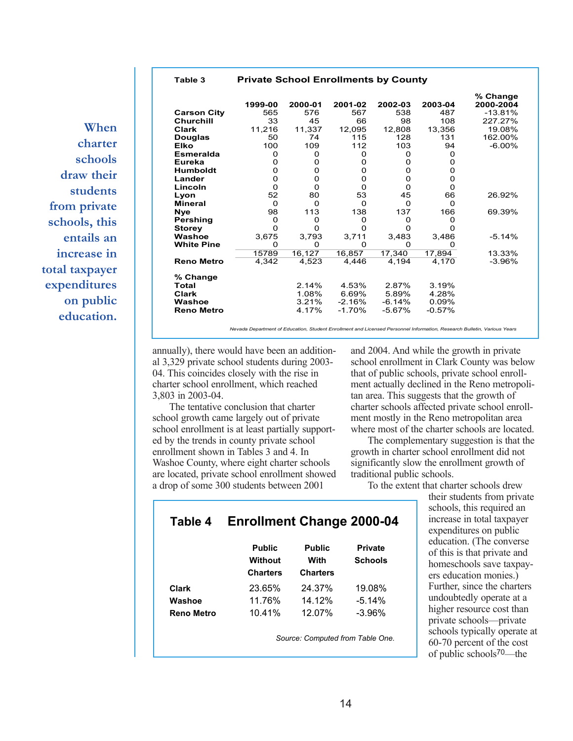**Table 3 Private School Enrollments by County**

**When charter schools draw their students from private schools, this entails an increase in total taxpayer expenditures on public education.**

|                    | 1999-00 | 2000-01  | 2001-02  | 2002-03  | 2003-04  | % Change<br>2000-2004 |
|--------------------|---------|----------|----------|----------|----------|-----------------------|
| <b>Carson City</b> | 565     | 576      | 567      | 538      | 487      | $-13.81%$             |
| <b>Churchill</b>   | 33      | 45       | 66       | 98       | 108      | 227.27%               |
| <b>Clark</b>       | 11,216  | 11,337   | 12,095   | 12,808   | 13,356   | 19.08%                |
| Douglas            | 50      | 74       | 115      | 128      | 131      | 162.00%               |
| Elko               | 100     | 109      | 112      | 103      | 94       | $-6.00\%$             |
| <b>Esmeralda</b>   | 0       | 0        | 0        | 0        | 0        |                       |
| Eureka             | 0       | 0        | 0        | 0        | 0        |                       |
| <b>Humboldt</b>    | 0       | 0        | 0        | 0        | 0        |                       |
| Lander             | 0       | O        | 0        | 0        | 0        |                       |
| Lincoln            | 0       | 0        | $\Omega$ | O        | 0        |                       |
| Lyon               | 52      | 80       | 53       | 45       | 66       | 26.92%                |
| <b>Mineral</b>     | 0       | $\Omega$ | 0        | O        | 0        |                       |
| <b>Nye</b>         | 98      | 113      | 138      | 137      | 166      | 69.39%                |
| Pershing           | 0       | 0        | 0        | 0        | O        |                       |
| <b>Storey</b>      | 0       | 0        | O        | O        | O        |                       |
| Washoe             | 3,675   | 3,793    | 3,711    | 3,483    | 3,486    | $-5.14%$              |
| <b>White Pine</b>  | O       | 0        | $\Omega$ | O        | O        |                       |
|                    | 15789   | 16, 127  | 16,857   | 17,340   | 17,894   | 13.33%                |
| <b>Reno Metro</b>  | 4,342   | 4,523    | 4,446    | 4,194    | 4,170    | -3.96%                |
| % Change           |         |          |          |          |          |                       |
| Total              |         | 2.14%    | 4.53%    | 2.87%    | 3.19%    |                       |
| <b>Clark</b>       |         | 1.08%    | 6.69%    | 5.89%    | 4.28%    |                       |
| Washoe             |         | 3.21%    | $-2.16%$ | $-6.14%$ | 0.09%    |                       |
| <b>Reno Metro</b>  |         | 4.17%    | $-1.70%$ | $-5.67%$ | $-0.57%$ |                       |

*Nevada Department of Education, Student Enrollment and Licensed Personnel Information, Research Bulletin, Various Years* 

annually), there would have been an additional 3,329 private school students during 2003- 04. This coincides closely with the rise in charter school enrollment, which reached 3,803 in 2003-04.

The tentative conclusion that charter school growth came largely out of private school enrollment is at least partially supported by the trends in county private school enrollment shown in Tables 3 and 4. In Washoe County, where eight charter schools are located, private school enrollment showed a drop of some 300 students between 2001

and 2004. And while the growth in private school enrollment in Clark County was below that of public schools, private school enrollment actually declined in the Reno metropolitan area. This suggests that the growth of charter schools affected private school enrollment mostly in the Reno metropolitan area where most of the charter schools are located.

The complementary suggestion is that the growth in charter school enrollment did not significantly slow the enrollment growth of traditional public schools.

To the extent that charter schools drew

|            | <b>Public</b><br><b>Without</b><br><b>Charters</b> | <b>Public</b><br>With<br><b>Charters</b> | <b>Private</b><br><b>Schools</b> |
|------------|----------------------------------------------------|------------------------------------------|----------------------------------|
| Clark      | 23.65%                                             | 24.37%                                   | 19.08%                           |
| Washoe     | 11.76%                                             | 14.12%                                   | $-5.14%$                         |
| Reno Metro | 10.41%                                             | 12.07%                                   | $-3.96%$                         |

**Table 4 Enrollment Change 2000-04**

*Source: Computed from Table One.*

their students from private schools, this required an increase in total taxpayer expenditures on public education. (The converse of this is that private and homeschools save taxpayers education monies.) Further, since the charters undoubtedly operate at a higher resource cost than private schools—private schools typically operate at 60-70 percent of the cost of public schools70—the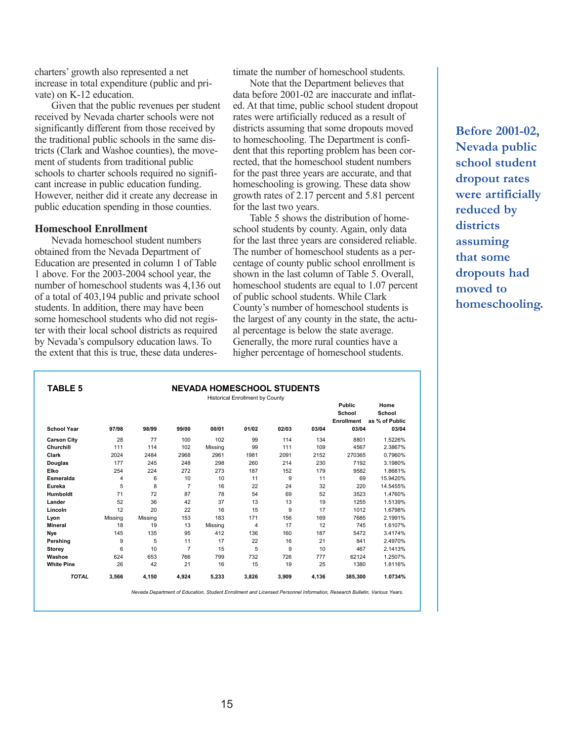charters' growth also represented a net increase in total expenditure (public and private) on K-12 education.

Given that the public revenues per student received by Nevada charter schools were not significantly different from those received by the traditional public schools in the same districts (Clark and Washoe counties), the movement of students from traditional public schools to charter schools required no significant increase in public education funding. However, neither did it create any decrease in public education spending in those counties.

#### **Homeschool Enrollment**

Nevada homeschool student numbers obtained from the Nevada Department of Education are presented in column 1 of Table 1 above. For the 2003-2004 school year, the number of homeschool students was 4,136 out of a total of 403,194 public and private school students. In addition, there may have been some homeschool students who did not register with their local school districts as required by Nevada's compulsory education laws. To the extent that this is true, these data underestimate the number of homeschool students.

Note that the Department believes that data before 2001-02 are inaccurate and inflated. At that time, public school student dropout rates were artificially reduced as a result of districts assuming that some dropouts moved to homeschooling. The Department is confident that this reporting problem has been corrected, that the homeschool student numbers for the past three years are accurate, and that homeschooling is growing. These data show growth rates of 2.17 percent and 5.81 percent for the last two years.

Table 5 shows the distribution of homeschool students by county. Again, only data for the last three years are considered reliable. The number of homeschool students as a percentage of county public school enrollment is shown in the last column of Table 5. Overall, homeschool students are equal to 1.07 percent of public school students. While Clark County's number of homeschool students is the largest of any county in the state, the actual percentage is below the state average. Generally, the more rural counties have a higher percentage of homeschool students.

**Before 2001-02, Nevada public school student dropout rates were artificially reduced by districts assuming that some dropouts had moved to homeschooling.**

|                    | <b>Historical Enrollment by County</b> |         |                |         |       |       | Public | Home              |                |
|--------------------|----------------------------------------|---------|----------------|---------|-------|-------|--------|-------------------|----------------|
|                    |                                        |         |                |         |       |       |        | School            | School         |
|                    |                                        |         |                |         |       |       |        | <b>Enrollment</b> | as % of Public |
| <b>School Year</b> | 97/98                                  | 98/99   | 99/00          | 00/01   | 01/02 | 02/03 | 03/04  | 03/04             | 03/04          |
| <b>Carson City</b> | 28                                     | 77      | 100            | 102     | 99    | 114   | 134    | 8801              | 1.5226%        |
| Churchill          | 111                                    | 114     | 102            | Missing | 99    | 111   | 109    | 4567              | 2.3867%        |
| Clark              | 2024                                   | 2484    | 2968           | 2961    | 1981  | 2091  | 2152   | 270365            | 0.7960%        |
| <b>Douglas</b>     | 177                                    | 245     | 248            | 298     | 260   | 214   | 230    | 7192              | 3.1980%        |
| Elko               | 254                                    | 224     | 272            | 273     | 187   | 152   | 179    | 9582              | 1.8681%        |
| Esmeralda          | 4                                      | 6       | 10             | 10      | 11    | 9     | 11     | 69                | 15.9420%       |
| Eureka             | 5                                      | 8       | $\overline{7}$ | 16      | 22    | 24    | 32     | 220               | 14.5455%       |
| Humboldt           | 71                                     | 72      | 87             | 78      | 54    | 69    | 52     | 3523              | 1.4760%        |
| Lander             | 52                                     | 36      | 42             | 37      | 13    | 13    | 19     | 1255              | 1.5139%        |
| Lincoln            | 12                                     | 20      | 22             | 16      | 15    | 9     | 17     | 1012              | 1.6798%        |
| Lyon               | Missing                                | Missing | 153            | 183     | 171   | 156   | 169    | 7685              | 2.1991%        |
| <b>Mineral</b>     | 18                                     | 19      | 13             | Missing | 4     | 17    | 12     | 745               | 1.6107%        |
| Nye                | 145                                    | 135     | 95             | 412     | 136   | 160   | 187    | 5472              | 3.4174%        |
| Pershing           | 9                                      | 5       | 11             | 17      | 22    | 16    | 21     | 841               | 2.4970%        |
| Storey             | 6                                      | 10      | $\overline{7}$ | 15      | 5     | 9     | 10     | 467               | 2.1413%        |
| Washoe             | 624                                    | 653     | 766            | 799     | 732   | 726   | 777    | 62124             | 1.2507%        |
| <b>White Pine</b>  | 26                                     | 42      | 21             | 16      | 15    | 19    | 25     | 1380              | 1.8116%        |
| <b>TOTAL</b>       | 3,566                                  | 4,150   | 4,924          | 5,233   | 3,826 | 3,909 | 4,136  | 385,300           | 1.0734%        |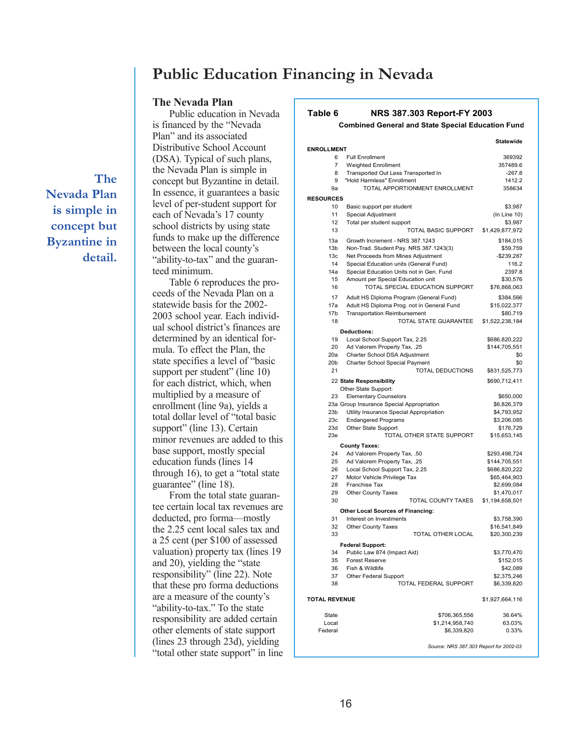### **Public Education Financing in Nevada**

#### **The Nevada Plan** Public education in Nevada

**The Nevada Plan is simple in concept but Byzantine in detail.** is financed by the "Nevada Plan" and its associated Distributive School Account (DSA). Typical of such plans, the Nevada Plan is simple in concept but Byzantine in detail. In essence, it guarantees a basic level of per-student support for each of Nevada's 17 county school districts by using state funds to make up the difference between the local county's "ability-to-tax" and the guaranteed minimum.

Table 6 reproduces the proceeds of the Nevada Plan on a statewide basis for the 2002- 2003 school year. Each individual school district's finances are determined by an identical formula. To effect the Plan, the state specifies a level of "basic support per student" (line 10) for each district, which, when multiplied by a measure of enrollment (line 9a), yields a total dollar level of "total basic support" (line 13). Certain minor revenues are added to this base support, mostly special education funds (lines 14 through 16), to get a "total state guarantee" (line 18).

From the total state guarantee certain local tax revenues are deducted, pro forma—mostly the 2.25 cent local sales tax and a 25 cent (per \$100 of assessed valuation) property tax (lines 19 and 20), yielding the "state responsibility" (line 22). Note that these pro forma deductions are a measure of the county's "ability-to-tax." To the state responsibility are added certain other elements of state support (lines 23 through 23d), yielding "total other state support" in line

#### **Table 6 NRS 387.303 Report-FY 2003**

**Combined General and State Special Education Fund**

|                      |                                            | <b>Statewide</b> |
|----------------------|--------------------------------------------|------------------|
| <b>ENROLLMENT</b>    |                                            |                  |
| 6                    | <b>Full Enrollment</b>                     | 369392           |
| 7                    | <b>Weighted Enrollment</b>                 | 357489.6         |
| 8                    | Transported Out Less Transported In        | $-267.8$         |
| 9                    | "Hold Harmless" Enrollment                 | 1412.2           |
| 9а                   | TOTAL APPORTIONMENT ENROLLMENT             | 358634           |
| <b>RESOURCES</b>     |                                            |                  |
| 10                   | Basic support per student                  | \$3,987          |
| 11                   | Special Adjustment                         | (In Line 10)     |
| 12                   | Total per student support                  | \$3,987          |
| 13                   | TOTAL BASIC SUPPORT                        | \$1,429,877,972  |
| 13a                  | Growth Increment - NRS 387.1243            | \$184,015        |
| 13 <sub>b</sub>      | Non-Trad. Student Pay. NRS 387.1243(3)     | \$59,759         |
| 13 <sub>c</sub>      | Net Proceeds from Mines Adjustment         | $-$239,287$      |
| 14                   | Special Education units (General Fund)     | 116.2            |
| 14a                  | Special Education Units not in Gen. Fund   | 2397.8           |
| 15                   | Amount per Special Education unit          | \$30,576         |
| 16                   | TOTAL SPECIAL EDUCATION SUPPORT            | \$76,868,063     |
| 17                   | Adult HS Diploma Program (General Fund)    | \$384,566        |
| 17a                  | Adult HS Diploma Prog. not in General Fund | \$15,022,377     |
| 17b                  | Transportation Reimbursement               | \$80,719         |
| 18                   | TOTAL STATE GUARANTEE                      | \$1,522,238,184  |
|                      |                                            |                  |
|                      | Deductions:                                |                  |
| 19                   | Local School Support Tax, 2.25             | \$686,820,222    |
| 20                   | Ad Valorem Property Tax, .25               | \$144,705,551    |
| 20a                  | Charter School DSA Adjustment              | \$0              |
| 20b                  | Charter School Special Payment             | \$0              |
| 21                   | TOTAL DEDUCTIONS                           | \$831,525,773    |
|                      | 22 State Responsibility                    | \$690,712,411    |
|                      | Other State Support:                       |                  |
| 23                   | <b>Elementary Counselors</b>               | \$650,000        |
|                      | 23a Group Insurance Special Appropriation  | \$6,826,379      |
| 23 <sub>b</sub>      | Utility Insurance Special Appropriation    | \$4,793,952      |
| 23c                  | <b>Endangered Programs</b>                 | \$3,206,085      |
| 23d                  | Other State Support                        | \$176,729        |
| 23e                  | TOTAL OTHER STATE SUPPORT                  | \$15,653,145     |
|                      | <b>County Taxes:</b>                       |                  |
| 24                   | Ad Valorem Property Tax, .50               | \$293,498,724    |
| 25                   | Ad Valorem Property Tax, .25               | \$144,705,551    |
| 26                   | Local School Support Tax, 2.25             | \$686,820,222    |
| 27                   | Motor Vehicle Privilege Tax                | \$65,464,903     |
| 28                   | Franchise Tax                              | \$2,699,084      |
| 29                   | <b>Other County Taxes</b>                  | \$1,470,017      |
| 30                   | TOTAL COUNTY TAXES                         | \$1,194,658,501  |
|                      | <b>Other Local Sources of Financing:</b>   |                  |
| 31                   | Interest on Investments                    | \$3,758,390      |
| 32                   | <b>Other County Taxes</b>                  | \$16,541,849     |
| 33                   | TOTAL OTHER LOCAL                          | \$20,300,239     |
|                      | <b>Federal Support:</b>                    |                  |
| 34                   | Public Law 874 (Impact Aid)                | \$3,770,470      |
| 35                   | <b>Forest Reserve</b>                      | \$152,015        |
| 36                   | Fish & Wildlife                            | \$42,089         |
| 37                   | Other Federal Support                      | \$2,375,246      |
| 38                   | TOTAL FEDERAL SUPPORT                      | \$6,339,820      |
|                      |                                            |                  |
| <b>TOTAL REVENUE</b> |                                            | \$1,927,664,116  |
|                      |                                            |                  |
| State<br>Local       | \$706,365,556<br>\$1,214,958,740           | 36.64%<br>63.03% |
| Federal              | \$6,339,820                                | 0.33%            |
|                      |                                            |                  |
|                      | Source: NRS 387.303 Report for 2002-03     |                  |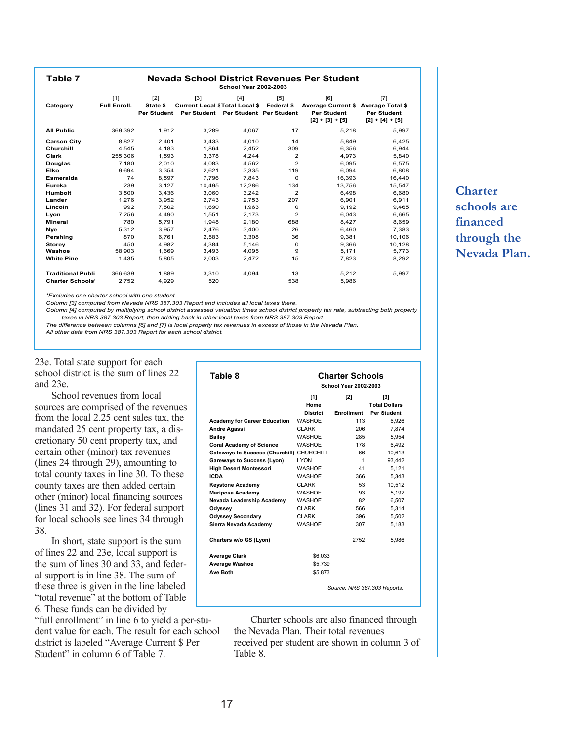**Table 7**

#### **Nevada School District Revenues Per Student School Year 2002-2003**

| Category                 | [1]<br><b>Full Enroll.</b> | $[2]$<br>State \$<br><b>Per Student</b> | $[3]$<br><b>Current Local \$ Total Local \$</b><br><b>Per Student</b> | [4]<br>Per Student Per Student | [5]<br>Federal \$ | [6]<br><b>Average Current \$</b><br><b>Per Student</b><br>$[2] + [3] + [5]$ | [7]<br><b>Average Total \$</b><br><b>Per Student</b><br>$[2] + [4] + [5]$ |
|--------------------------|----------------------------|-----------------------------------------|-----------------------------------------------------------------------|--------------------------------|-------------------|-----------------------------------------------------------------------------|---------------------------------------------------------------------------|
| <b>All Public</b>        | 369,392                    | 1,912                                   | 3,289                                                                 | 4,067                          | 17                | 5,218                                                                       | 5,997                                                                     |
| <b>Carson City</b>       | 8.827                      | 2.401                                   | 3.433                                                                 | 4.010                          | 14                | 5.849                                                                       | 6.425                                                                     |
| Churchill                | 4.545                      | 4.183                                   | 1.864                                                                 | 2.452                          | 309               | 6.356                                                                       | 6.944                                                                     |
| Clark                    | 255,306                    | 1.593                                   | 3.378                                                                 | 4.244                          | 2                 | 4.973                                                                       | 5,840                                                                     |
| Douglas                  | 7.180                      | 2.010                                   | 4.083                                                                 | 4.562                          | $\overline{2}$    | 6.095                                                                       | 6.575                                                                     |
| Elko                     | 9.694                      | 3.354                                   | 2.621                                                                 | 3.335                          | 119               | 6.094                                                                       | 6.808                                                                     |
| Esmeralda                | 74                         | 8.597                                   | 7.796                                                                 | 7.843                          | $\Omega$          | 16.393                                                                      | 16.440                                                                    |
| Eureka                   | 239                        | 3.127                                   | 10.495                                                                | 12.286                         | 134               | 13.756                                                                      | 15.547                                                                    |
| Humbolt                  | 3,500                      | 3,436                                   | 3.060                                                                 | 3.242                          | $\overline{2}$    | 6.498                                                                       | 6,680                                                                     |
| Lander                   | 1.276                      | 3.952                                   | 2.743                                                                 | 2.753                          | 207               | 6.901                                                                       | 6.911                                                                     |
| Lincoln                  | 992                        | 7.502                                   | 1.690                                                                 | 1.963                          | $\Omega$          | 9.192                                                                       | 9.465                                                                     |
| Lyon                     | 7,256                      | 4.490                                   | 1.551                                                                 | 2.173                          | $\overline{2}$    | 6.043                                                                       | 6,665                                                                     |
| Mineral                  | 780                        | 5.791                                   | 1.948                                                                 | 2.180                          | 688               | 8.427                                                                       | 8,659                                                                     |
| Nye                      | 5.312                      | 3.957                                   | 2.476                                                                 | 3,400                          | 26                | 6.460                                                                       | 7.383                                                                     |
| Pershing                 | 870                        | 6,761                                   | 2,583                                                                 | 3,308                          | 36                | 9,381                                                                       | 10,106                                                                    |
| <b>Storey</b>            | 450                        | 4.982                                   | 4.384                                                                 | 5.146                          | $\Omega$          | 9.366                                                                       | 10,128                                                                    |
| Washoe                   | 58.903                     | 1.669                                   | 3.493                                                                 | 4.095                          | 9                 | 5,171                                                                       | 5,773                                                                     |
| <b>White Pine</b>        | 1,435                      | 5,805                                   | 2,003                                                                 | 2,472                          | 15                | 7,823                                                                       | 8,292                                                                     |
| <b>Traditional Publi</b> | 366.639                    | 1.889                                   | 3.310                                                                 | 4.094                          | 13                | 5.212                                                                       | 5.997                                                                     |
| <b>Charter Schools'</b>  | 2.752                      | 4.929                                   | 520                                                                   |                                | 538               | 5.986                                                                       |                                                                           |

*\*Excludes one charter school with one student.*

*Column [3] computed from Nevada NRS 387.303 Report and includes all local taxes there.*

*Column [4] computed by multiplying school district assessed valuation times school district property tax rate, subtracting both property taxes in NRS 387.303 Report, then adding back in other local taxes from NRS 387.303 Report.*

*The difference between columns [6] and [7] is local property tax revenues in excess of those in the Nevada Plan. All other data from NRS 387.303 Report for each school district.*

23e. Total state support for each school district is the sum of lines 22 and 23e.

School revenues from local sources are comprised of the revenues from the local 2.25 cent sales tax, the mandated 25 cent property tax, a discretionary 50 cent property tax, and certain other (minor) tax revenues (lines 24 through 29), amounting to total county taxes in line 30. To these county taxes are then added certain other (minor) local financing sources (lines 31 and 32). For federal support for local schools see lines 34 through 38.

In short, state support is the sum of lines 22 and 23e, local support is the sum of lines 30 and 33, and federal support is in line 38. The sum of these three is given in the line labeled "total revenue" at the bottom of Table 6. These funds can be divided by

"full enrollment" in line 6 to yield a per-student value for each. The result for each school district is labeled "Average Current \$ Per Student" in column 6 of Table 7.

| Table 8                                   | <b>Charter Schools</b><br><b>School Year 2002-2003</b> |                          |                              |  |  |  |
|-------------------------------------------|--------------------------------------------------------|--------------------------|------------------------------|--|--|--|
|                                           | [1]                                                    | [2]                      | [3]                          |  |  |  |
|                                           | Home                                                   |                          | <b>Total Dollars</b>         |  |  |  |
|                                           | <b>District</b><br><b>WASHOE</b>                       | <b>Enrollment</b><br>113 | Per Student                  |  |  |  |
| <b>Academy for Career Education</b>       |                                                        |                          | 6,926                        |  |  |  |
| Andre Agassi                              | <b>CLARK</b>                                           | 206                      | 7.874                        |  |  |  |
| <b>Bailey</b>                             | <b>WASHOE</b>                                          | 285                      | 5.954                        |  |  |  |
| <b>Coral Academy of Science</b>           | WASHOE                                                 | 178                      | 6.492                        |  |  |  |
| Gateways to Success (Churchill) CHURCHILL |                                                        | 66                       | 10.613                       |  |  |  |
| Gareways to Success (Lyon)                | <b>LYON</b>                                            | 1                        | 93.442                       |  |  |  |
| <b>High Desert Montessori</b>             | <b>WASHOE</b>                                          | 41                       | 5.121                        |  |  |  |
| <b>ICDA</b>                               | <b>WASHOE</b>                                          | 366                      | 5.343                        |  |  |  |
| <b>Keystone Academy</b>                   | <b>CLARK</b>                                           | 53                       | 10,512                       |  |  |  |
| <b>Mariposa Academy</b>                   | <b>WASHOE</b>                                          | 93                       | 5,192                        |  |  |  |
| Nevada Leadership Academy                 | <b>WASHOE</b>                                          | 82                       | 6,507                        |  |  |  |
| Odyssey                                   | <b>CLARK</b>                                           | 566                      | 5,314                        |  |  |  |
| <b>Odyssey Secondary</b>                  | <b>CLARK</b>                                           | 396                      | 5,502                        |  |  |  |
| Sierra Nevada Academy                     | <b>WASHOE</b>                                          | 307                      | 5,183                        |  |  |  |
| Charters w/o GS (Lyon)                    |                                                        | 2752                     | 5.986                        |  |  |  |
| <b>Average Clark</b>                      | \$6,033                                                |                          |                              |  |  |  |
| <b>Average Washoe</b>                     | \$5,739                                                |                          |                              |  |  |  |
| Ave Both                                  | \$5,873                                                |                          |                              |  |  |  |
|                                           |                                                        |                          | Source: NRS 387.303 Reports. |  |  |  |

Charter schools are also financed through the Nevada Plan. Their total revenues received per student are shown in column 3 of Table 8.

### **Charter schools are financed through the Nevada Plan.**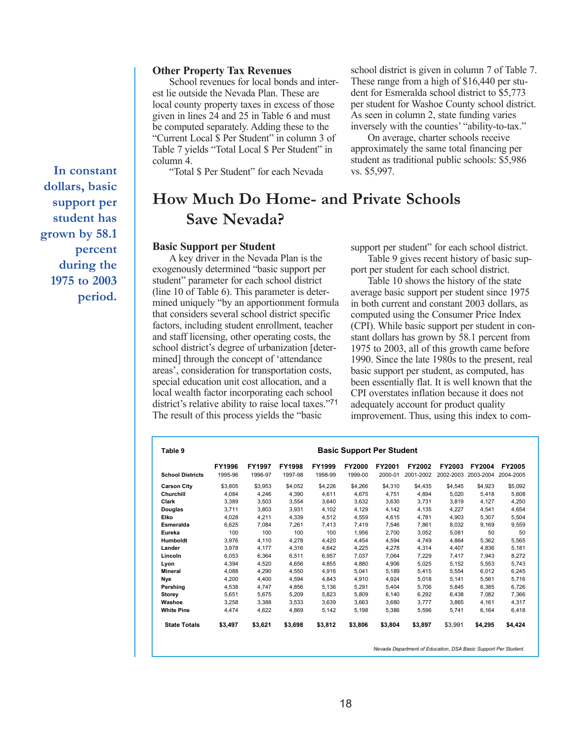#### **Other Property Tax Revenues**

School revenues for local bonds and interest lie outside the Nevada Plan. These are local county property taxes in excess of those given in lines 24 and 25 in Table 6 and must be computed separately. Adding these to the "Current Local \$ Per Student" in column 3 of Table 7 yields "Total Local \$ Per Student" in column 4.

"Total \$ Per Student" for each Nevada

school district is given in column 7 of Table 7. These range from a high of \$16,440 per student for Esmeralda school district to \$5,773 per student for Washoe County school district. As seen in column 2, state funding varies inversely with the counties' "ability-to-tax."

On average, charter schools receive approximately the same total financing per student as traditional public schools: \$5,986 vs. \$5,997.

### **How Much Do Home- and Private Schools Save Nevada?**

#### **Basic Support per Student**

A key driver in the Nevada Plan is the exogenously determined "basic support per student" parameter for each school district (line 10 of Table 6). This parameter is determined uniquely "by an apportionment formula that considers several school district specific factors, including student enrollment, teacher and staff licensing, other operating costs, the school district's degree of urbanization [determined] through the concept of 'attendance areas', consideration for transportation costs, special education unit cost allocation, and a local wealth factor incorporating each school district's relative ability to raise local taxes."71 The result of this process yields the "basic

support per student" for each school district. Table 9 gives recent history of basic sup-

port per student for each school district.

Table 10 shows the history of the state average basic support per student since 1975 in both current and constant 2003 dollars, as computed using the Consumer Price Index (CPI). While basic support per student in constant dollars has grown by 58.1 percent from 1975 to 2003, all of this growth came before 1990. Since the late 1980s to the present, real basic support per student, as computed, has been essentially flat. It is well known that the CPI overstates inflation because it does not adequately account for product quality improvement. Thus, using this index to com-

|                         | FY1996  | FY1997  | <b>FY1998</b> | FY1999  | <b>FY2000</b> | FY2001  | FY2002    | <b>FY2003</b> | <b>FY2004</b> | <b>FY2005</b> |
|-------------------------|---------|---------|---------------|---------|---------------|---------|-----------|---------------|---------------|---------------|
| <b>School Districts</b> | 1995-96 | 1996-97 | 1997-98       | 1998-99 | 1999-00       | 2000-01 | 2001-2002 | 2002-2003     | 2003-2004     | 2004-2005     |
| <b>Carson City</b>      | \$3.805 | \$3,953 | \$4.052       | \$4,226 | \$4,266       | \$4,310 | \$4,435   | \$4,545       | \$4.923       | \$5,092       |
| Churchill               | 4,084   | 4,246   | 4,390         | 4,611   | 4,675         | 4,751   | 4,894     | 5,020         | 5,418         | 5,608         |
| Clark                   | 3.389   | 3.503   | 3.554         | 3,640   | 3,632         | 3,630   | 3.731     | 3.819         | 4,127         | 4.250         |
| Douglas                 | 3,711   | 3,803   | 3,931         | 4,102   | 4,129         | 4,142   | 4,135     | 4,227         | 4,541         | 4,654         |
| Elko                    | 4,028   | 4,211   | 4,339         | 4,512   | 4,559         | 4,615   | 4.781     | 4.903         | 5.307         | 5,504         |
| Esmeralda               | 6.625   | 7.084   | 7.261         | 7.413   | 7.419         | 7.546   | 7.861     | 8.032         | 9.169         | 9.559         |
| Eureka                  | 100     | 100     | 100           | 100     | 1,956         | 2,700   | 3,052     | 5,081         | 50            | 50            |
| <b>Humboldt</b>         | 3.976   | 4.110   | 4.278         | 4.420   | 4.454         | 4.594   | 4.749     | 4.864         | 5.362         | 5.565         |
| Lander                  | 3,978   | 4.177   | 4.316         | 4,642   | 4,225         | 4,278   | 4,314     | 4,407         | 4,836         | 5,181         |
| Lincoln                 | 6,053   | 6,364   | 6.511         | 6,957   | 7,037         | 7,064   | 7,229     | 7,417         | 7,943         | 8,272         |
| Lyon                    | 4,394   | 4,520   | 4,656         | 4,855   | 4,880         | 4,906   | 5,025     | 5,152         | 5,553         | 5,743         |
| Mineral                 | 4.088   | 4.290   | 4,550         | 4,916   | 5,041         | 5,189   | 5.415     | 5,554         | 6.012         | 6,245         |
| Nye                     | 4,200   | 4,400   | 4,594         | 4,843   | 4,910         | 4,924   | 5,018     | 5,141         | 5,561         | 5,716         |
| Pershing                | 4,538   | 4.747   | 4.856         | 5,136   | 5,291         | 5,404   | 5.706     | 5.845         | 6.385         | 6,726         |
| Storey                  | 5.651   | 5.675   | 5.209         | 5,823   | 5.809         | 6,140   | 6,292     | 6.438         | 7.082         | 7.366         |
| Washoe                  | 3,258   | 3.388   | 3,533         | 3,639   | 3,663         | 3,680   | 3.777     | 3.865         | 4,161         | 4.317         |
| <b>White Pine</b>       | 4.474   | 4.622   | 4.869         | 5.142   | 5,198         | 5,386   | 5.596     | 5.741         | 6.164         | 6.418         |
| <b>State Totals</b>     | \$3,497 | \$3,621 | \$3,698       | \$3,812 | \$3,806       | \$3,804 | \$3,897   | \$3,991       | \$4,295       | \$4,424       |

**In constant dollars, basic support per student has grown by 58.1 percent during the 1975 to 2003 period.**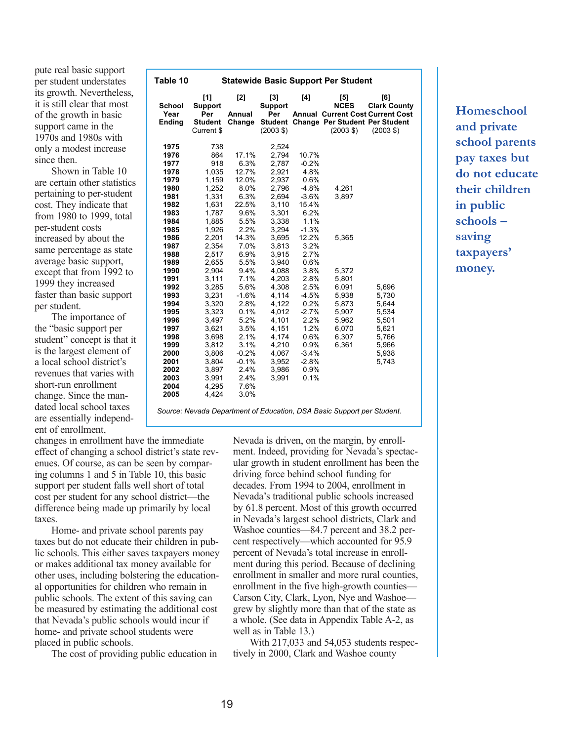pute real basic support per student understates its growth. Nevertheless, it is still clear that most of the growth in basic support came in the 1970s and 1980s with only a modest increase since then.

Shown in Table 10 are certain other statistics pertaining to per-student cost. They indicate that from 1980 to 1999, total per-student costs increased by about the same percentage as state average basic support, except that from 1992 to 1999 they increased faster than basic support per student.

The importance of the "basic support per student" concept is that it is the largest element of a local school district's revenues that varies with short-run enrollment change. Since the mandated local school taxes are essentially independent of enrollment,

| Table 10                                                                                                                                                                                                                                     |                                                                                                                                                                                                                                                                      |                                                                                                                                                                                                                                                    |                                                                                                                                                                                                                                                                   |                                                                                                                                                                                                                                                         | <b>Statewide Basic Support Per Student</b>                                                                        |                                                                                              |
|----------------------------------------------------------------------------------------------------------------------------------------------------------------------------------------------------------------------------------------------|----------------------------------------------------------------------------------------------------------------------------------------------------------------------------------------------------------------------------------------------------------------------|----------------------------------------------------------------------------------------------------------------------------------------------------------------------------------------------------------------------------------------------------|-------------------------------------------------------------------------------------------------------------------------------------------------------------------------------------------------------------------------------------------------------------------|---------------------------------------------------------------------------------------------------------------------------------------------------------------------------------------------------------------------------------------------------------|-------------------------------------------------------------------------------------------------------------------|----------------------------------------------------------------------------------------------|
| <b>School</b><br>Year<br>Ending                                                                                                                                                                                                              | [1]<br>Support<br>Per<br><b>Student</b><br>Current \$                                                                                                                                                                                                                | [2]<br>Annual<br>Change                                                                                                                                                                                                                            | [3]<br>Support<br>Per<br><b>Student</b><br>$(2003 \text{ } $)$                                                                                                                                                                                                    | [4]                                                                                                                                                                                                                                                     | [5]<br><b>NCES</b><br><b>Change Per Student Per Student</b><br>$(2003 \text{ } $)$                                | [6]<br><b>Clark County</b><br><b>Annual Current Cost Current Cost</b><br>$(2003 \text{ } $)$ |
| 1975<br>1976<br>1977<br>1978<br>1979<br>1980<br>1981<br>1982<br>1983<br>1984<br>1985<br>1986<br>1987<br>1988<br>1989<br>1990<br>1991<br>1992<br>1993<br>1994<br>1995<br>1996<br>1997<br>1998<br>1999<br>2000<br>2001<br>2002<br>2003<br>2004 | 738<br>864<br>918<br>1,035<br>1,159<br>1,252<br>1,331<br>1,631<br>1,787<br>1,885<br>1,926<br>2,201<br>2,354<br>2,517<br>2,655<br>2,904<br>3,111<br>3,285<br>3,231<br>3,320<br>3,323<br>3,497<br>3,621<br>3,698<br>3,812<br>3,806<br>3,804<br>3,897<br>3,991<br>4,295 | 17.1%<br>6.3%<br>12.7%<br>12.0%<br>8.0%<br>6.3%<br>22.5%<br>9.6%<br>5.5%<br>2.2%<br>14.3%<br>7.0%<br>6.9%<br>5.5%<br>9.4%<br>7.1%<br>5.6%<br>$-1.6%$<br>2.8%<br>0.1%<br>5.2%<br>3.5%<br>2.1%<br>3.1%<br>$-0.2%$<br>$-0.1%$<br>2.4%<br>2.4%<br>7.6% | 2,524<br>2,794<br>2.787<br>2,921<br>2,937<br>2,796<br>2,694<br>3,110<br>3,301<br>3,338<br>3,294<br>3,695<br>3,813<br>3,915<br>3,940<br>4,088<br>4,203<br>4,308<br>4,114<br>4,122<br>4,012<br>4,101<br>4,151<br>4,174<br>4,210<br>4,067<br>3,952<br>3,986<br>3,991 | 10.7%<br>$-0.2%$<br>4.8%<br>0.6%<br>$-4.8%$<br>$-3.6%$<br>15.4%<br>6.2%<br>1.1%<br>$-1.3%$<br>12.2%<br>3.2%<br>2.7%<br>0.6%<br>3.8%<br>2.8%<br>2.5%<br>$-4.5%$<br>0.2%<br>$-2.7%$<br>2.2%<br>1.2%<br>0.6%<br>0.9%<br>$-3.4%$<br>$-2.8%$<br>0.9%<br>0.1% | 4,261<br>3,897<br>5,365<br>5,372<br>5,801<br>6,091<br>5,938<br>5,873<br>5,907<br>5,962<br>6,070<br>6,307<br>6,361 | 5,696<br>5,730<br>5,644<br>5,534<br>5,501<br>5,621<br>5,766<br>5,966<br>5,938<br>5,743       |
| 2005                                                                                                                                                                                                                                         | 4,424                                                                                                                                                                                                                                                                | 3.0%                                                                                                                                                                                                                                               |                                                                                                                                                                                                                                                                   |                                                                                                                                                                                                                                                         |                                                                                                                   |                                                                                              |

*Source: Nevada Department of Education, DSA Basic Support per Student.*

changes in enrollment have the immediate effect of changing a school district's state revenues. Of course, as can be seen by comparing columns 1 and 5 in Table 10, this basic support per student falls well short of total cost per student for any school district—the difference being made up primarily by local taxes.

Home- and private school parents pay taxes but do not educate their children in public schools. This either saves taxpayers money or makes additional tax money available for other uses, including bolstering the educational opportunities for children who remain in public schools. The extent of this saving can be measured by estimating the additional cost that Nevada's public schools would incur if home- and private school students were placed in public schools.

The cost of providing public education in

Nevada is driven, on the margin, by enrollment. Indeed, providing for Nevada's spectacular growth in student enrollment has been the driving force behind school funding for decades. From 1994 to 2004, enrollment in Nevada's traditional public schools increased by 61.8 percent. Most of this growth occurred in Nevada's largest school districts, Clark and Washoe counties—84.7 percent and 38.2 percent respectively—which accounted for 95.9 percent of Nevada's total increase in enrollment during this period. Because of declining enrollment in smaller and more rural counties, enrollment in the five high-growth counties— Carson City, Clark, Lyon, Nye and Washoe grew by slightly more than that of the state as a whole. (See data in Appendix Table A-2, as well as in Table 13.)

With 217,033 and 54,053 students respectively in 2000, Clark and Washoe county

**Homeschool and private school parents pay taxes but do not educate their children in public schools – saving taxpayers' money.**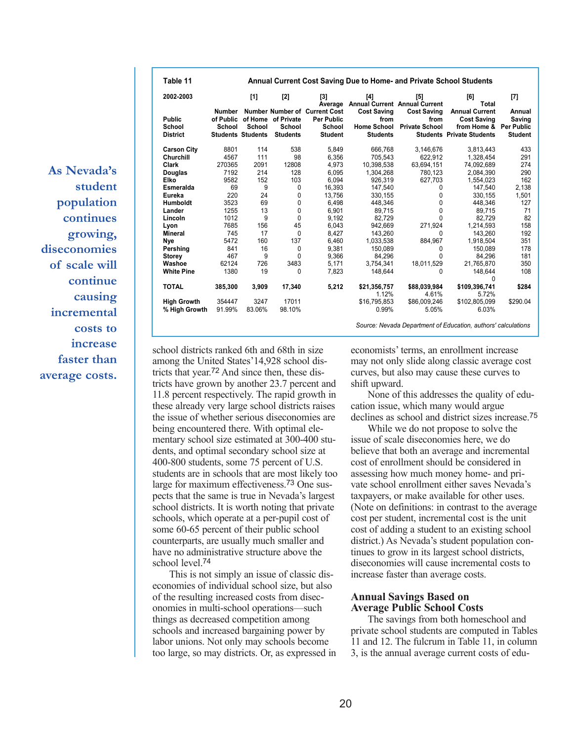**As Nevada's student population continues growing, diseconomies of scale will continue causing incremental costs to increase faster than average costs.**

| Table 11                                   | <b>Annual Current Cost Saving Due to Home- and Private School Students</b> |                                    |                                                 |                                                                                       |                                                                     |                                                     |                                                                                                           |                                    |  |  |
|--------------------------------------------|----------------------------------------------------------------------------|------------------------------------|-------------------------------------------------|---------------------------------------------------------------------------------------|---------------------------------------------------------------------|-----------------------------------------------------|-----------------------------------------------------------------------------------------------------------|------------------------------------|--|--|
| 2002-2003                                  |                                                                            | [1]                                | $[2]$                                           | [3]<br>Average                                                                        | [4]                                                                 | $[5]$<br><b>Annual Current Annual Current</b>       | [6]<br>Total                                                                                              | [7]                                |  |  |
| <b>Public</b><br>School<br><b>District</b> | <b>Number</b><br>of Public<br>School                                       | School<br><b>Students Students</b> | of Home of Private<br>School<br><b>Students</b> | <b>Number Number of Current Cost</b><br><b>Per Public</b><br>School<br><b>Student</b> | <b>Cost Saving</b><br>from<br><b>Home School</b><br><b>Students</b> | <b>Cost Saving</b><br>from<br><b>Private School</b> | <b>Annual Current</b><br><b>Cost Saving</b><br>from Home & Per Public<br><b>Students Private Students</b> | Annual<br>Saving<br><b>Student</b> |  |  |
| <b>Carson City</b>                         | 8801                                                                       | 114                                | 538                                             | 5,849                                                                                 | 666,768                                                             | 3,146,676                                           | 3,813,443                                                                                                 | 433                                |  |  |
| Churchill                                  | 4567                                                                       | 111                                | 98                                              | 6,356                                                                                 | 705.543                                                             | 622,912                                             | 1,328,454                                                                                                 | 291                                |  |  |
| Clark                                      | 270365                                                                     | 2091                               | 12808                                           | 4.973                                                                                 | 10.398.538                                                          | 63.694.151                                          | 74.092.689                                                                                                | 274                                |  |  |
| Douglas                                    | 7192                                                                       | 214                                | 128                                             | 6.095                                                                                 | 1.304.268                                                           | 780.123                                             | 2.084.390                                                                                                 | 290                                |  |  |
| Elko                                       | 9582                                                                       | 152                                | 103                                             | 6,094                                                                                 | 926,319                                                             | 627,703                                             | 1,554,023                                                                                                 | 162                                |  |  |
| Esmeralda                                  | 69                                                                         | 9                                  | 0                                               | 16,393                                                                                | 147,540                                                             | 0                                                   | 147,540                                                                                                   | 2,138                              |  |  |
| Eureka                                     | 220                                                                        | 24                                 | 0                                               | 13,756                                                                                | 330.155                                                             | 0                                                   | 330.155                                                                                                   | 1,501                              |  |  |
| <b>Humboldt</b>                            | 3523                                                                       | 69                                 | 0                                               | 6.498                                                                                 | 448.346                                                             | 0                                                   | 448,346                                                                                                   | 127                                |  |  |
| Lander                                     | 1255                                                                       | 13                                 | 0                                               | 6,901                                                                                 | 89.715                                                              | 0                                                   | 89.715                                                                                                    | 71                                 |  |  |
| Lincoln                                    | 1012                                                                       | 9                                  | 0                                               | 9,192                                                                                 | 82.729                                                              | 0                                                   | 82,729                                                                                                    | 82                                 |  |  |
| Lyon                                       | 7685                                                                       | 156                                | 45                                              | 6,043                                                                                 | 942,669                                                             | 271,924                                             | 1,214,593                                                                                                 | 158                                |  |  |
| Mineral                                    | 745                                                                        | 17                                 | 0                                               | 8,427                                                                                 | 143.260                                                             | $\mathbf{0}$                                        | 143,260                                                                                                   | 192                                |  |  |
| Nye                                        | 5472                                                                       | 160                                | 137                                             | 6,460                                                                                 | 1,033,538                                                           | 884,967                                             | 1,918,504                                                                                                 | 351                                |  |  |
| Pershing                                   | 841                                                                        | 16                                 | 0                                               | 9,381                                                                                 | 150.089                                                             | 0                                                   | 150,089                                                                                                   | 178                                |  |  |
| <b>Storey</b>                              | 467                                                                        | 9                                  | 0                                               | 9,366                                                                                 | 84.296                                                              | U                                                   | 84.296                                                                                                    | 181                                |  |  |
| Washoe                                     | 62124                                                                      | 726                                | 3483                                            | 5,171                                                                                 | 3.754.341                                                           | 18.011.529                                          | 21,765,870                                                                                                | 350                                |  |  |
| <b>White Pine</b>                          | 1380                                                                       | 19                                 | 0                                               | 7,823                                                                                 | 148.644                                                             | 0                                                   | 148,644                                                                                                   | 108                                |  |  |
| <b>TOTAL</b>                               | 385,300                                                                    | 3,909                              | 17,340                                          | 5,212                                                                                 | \$21,356,757<br>1.12%                                               | \$88,039,984<br>4.61%                               | <sup>0</sup><br>\$109,396,741<br>5.72%                                                                    | \$284                              |  |  |
| <b>High Growth</b>                         | 354447                                                                     | 3247                               | 17011                                           |                                                                                       | \$16,795,853                                                        | \$86,009,246                                        | \$102,805,099                                                                                             | \$290.04                           |  |  |
| % High Growth                              | 91.99%                                                                     | 83.06%                             | 98.10%                                          |                                                                                       | 0.99%                                                               | 5.05%                                               | 6.03%                                                                                                     |                                    |  |  |

school districts ranked 6th and 68th in size among the United States'14,928 school districts that year.72 And since then, these districts have grown by another 23.7 percent and 11.8 percent respectively. The rapid growth in these already very large school districts raises the issue of whether serious diseconomies are being encountered there. With optimal elementary school size estimated at 300-400 students, and optimal secondary school size at 400-800 students, some 75 percent of U.S. students are in schools that are most likely too large for maximum effectiveness.73 One suspects that the same is true in Nevada's largest school districts. It is worth noting that private schools, which operate at a per-pupil cost of some 60-65 percent of their public school counterparts, are usually much smaller and have no administrative structure above the school level<sup>74</sup>

This is not simply an issue of classic diseconomies of individual school size, but also of the resulting increased costs from diseconomies in multi-school operations—such things as decreased competition among schools and increased bargaining power by labor unions. Not only may schools become too large, so may districts. Or, as expressed in economists' terms, an enrollment increase may not only slide along classic average cost curves, but also may cause these curves to shift upward.

*Source: Nevada Department of Education, authors' calculations*

None of this addresses the quality of education issue, which many would argue declines as school and district sizes increase.75

While we do not propose to solve the issue of scale diseconomies here, we do believe that both an average and incremental cost of enrollment should be considered in assessing how much money home- and private school enrollment either saves Nevada's taxpayers, or make available for other uses. (Note on definitions: in contrast to the average cost per student, incremental cost is the unit cost of adding a student to an existing school district.) As Nevada's student population continues to grow in its largest school districts, diseconomies will cause incremental costs to increase faster than average costs.

#### **Annual Savings Based on Average Public School Costs**

The savings from both homeschool and private school students are computed in Tables 11 and 12. The fulcrum in Table 11, in column 3, is the annual average current costs of edu-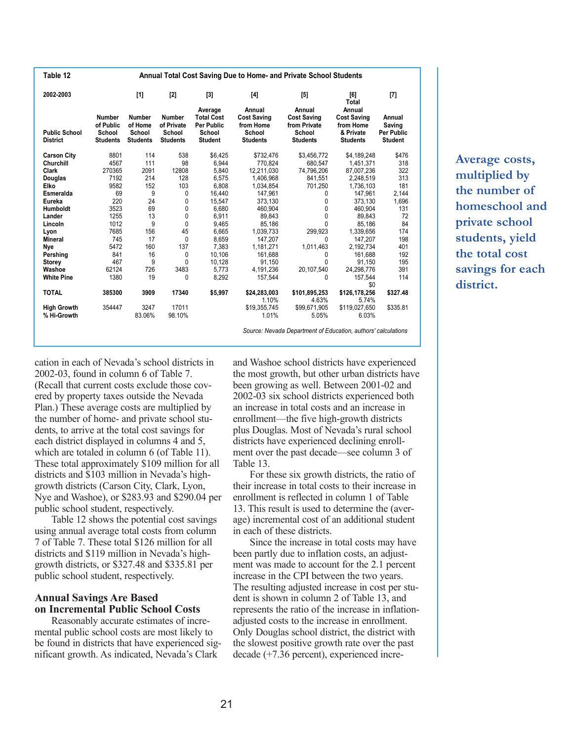| Table 12                                |                                                         |                                                       |                                                          |                                                                               | Annual Total Cost Saving Due to Home- and Private School Students      |                                                                           |                                                                           |                                                         |
|-----------------------------------------|---------------------------------------------------------|-------------------------------------------------------|----------------------------------------------------------|-------------------------------------------------------------------------------|------------------------------------------------------------------------|---------------------------------------------------------------------------|---------------------------------------------------------------------------|---------------------------------------------------------|
| 2002-2003                               |                                                         | $[1]$                                                 | $[2]$                                                    | $[3]$                                                                         | $[4]$                                                                  | [5]                                                                       | [6]<br><b>Total</b>                                                       | $[7]$                                                   |
| <b>Public School</b><br><b>District</b> | <b>Number</b><br>of Public<br>School<br><b>Students</b> | <b>Number</b><br>of Home<br>School<br><b>Students</b> | <b>Number</b><br>of Private<br>School<br><b>Students</b> | Average<br><b>Total Cost</b><br><b>Per Public</b><br>School<br><b>Student</b> | Annual<br><b>Cost Saving</b><br>from Home<br>School<br><b>Students</b> | Annual<br><b>Cost Saving</b><br>from Private<br>School<br><b>Students</b> | Annual<br><b>Cost Saving</b><br>from Home<br>& Private<br><b>Students</b> | Annual<br>Saving<br><b>Per Public</b><br><b>Student</b> |
| <b>Carson City</b>                      | 8801                                                    | 114                                                   | 538                                                      | \$6.425                                                                       | \$732,476                                                              | \$3,456,772                                                               | \$4,189,248                                                               | \$476                                                   |
| Churchill                               | 4567                                                    | 111                                                   | 98                                                       | 6.944                                                                         | 770.824                                                                | 680.547                                                                   | 1,451,371                                                                 | 318                                                     |
| <b>Clark</b>                            | 270365                                                  | 2091                                                  | 12808                                                    | 5,840                                                                         | 12,211,030                                                             | 74,796,206                                                                | 87,007,236                                                                | 322                                                     |
| <b>Douglas</b>                          | 7192                                                    | 214                                                   | 128                                                      | 6,575                                                                         | 1,406,968                                                              | 841,551                                                                   | 2,248,519                                                                 | 313                                                     |
| Elko                                    | 9582                                                    | 152                                                   | 103                                                      | 6,808                                                                         | 1,034,854                                                              | 701,250                                                                   | 1,736,103                                                                 | 181                                                     |
| Esmeralda                               | 69                                                      | 9                                                     | 0                                                        | 16.440                                                                        | 147.961                                                                | 0                                                                         | 147.961                                                                   | 2,144                                                   |
| Eureka                                  | 220                                                     | 24                                                    | 0                                                        | 15,547                                                                        | 373,130                                                                | 0                                                                         | 373,130                                                                   | 1,696                                                   |
| <b>Humboldt</b>                         | 3523                                                    | 69                                                    | 0                                                        | 6.680                                                                         | 460.904                                                                | 0                                                                         | 460.904                                                                   | 131                                                     |
| Lander                                  | 1255                                                    | 13                                                    | 0                                                        | 6,911                                                                         | 89.843                                                                 | 0                                                                         | 89,843                                                                    | 72                                                      |
| Lincoln                                 | 1012                                                    | 9                                                     | 0                                                        | 9,465                                                                         | 85,186                                                                 | 0                                                                         | 85,186                                                                    | 84                                                      |
| Lyon                                    | 7685                                                    | 156                                                   | 45                                                       | 6,665                                                                         | 1,039,733                                                              | 299,923                                                                   | 1,339,656                                                                 | 174                                                     |
| <b>Mineral</b>                          | 745                                                     | 17                                                    | 0                                                        | 8.659                                                                         | 147.207                                                                | 0                                                                         | 147.207                                                                   | 198                                                     |
| Nye                                     | 5472                                                    | 160                                                   | 137                                                      | 7,383                                                                         | 1,181,271                                                              | 1,011,463                                                                 | 2,192,734                                                                 | 401                                                     |
| Pershing                                | 841                                                     | 16                                                    | 0                                                        | 10.106                                                                        | 161,688                                                                | 0                                                                         | 161,688                                                                   | 192                                                     |
| <b>Storey</b>                           | 467                                                     | 9                                                     | $\Omega$                                                 | 10.128                                                                        | 91,150                                                                 | 0                                                                         | 91,150                                                                    | 195                                                     |
| Washoe                                  | 62124                                                   | 726                                                   | 3483                                                     | 5.773                                                                         | 4.191.236                                                              | 20,107,540                                                                | 24,298,776                                                                | 391                                                     |
| <b>White Pine</b>                       | 1380                                                    | 19                                                    | 0                                                        | 8,292                                                                         | 157.544                                                                | 0                                                                         | 157,544                                                                   | 114                                                     |
|                                         |                                                         |                                                       |                                                          |                                                                               |                                                                        |                                                                           | \$0                                                                       |                                                         |
| <b>TOTAL</b>                            | 385300                                                  | 3909                                                  | 17340                                                    | \$5,997                                                                       | \$24,283,003<br>1.10%                                                  | \$101,895,253<br>4.63%                                                    | \$126,178,256<br>5.74%                                                    | \$327.48                                                |
| <b>High Growth</b>                      | 354447                                                  | 3247                                                  | 17011                                                    |                                                                               | \$19,355,745                                                           | \$99,671,905                                                              | \$119,027,650                                                             | \$335.81                                                |
| % Hi-Growth                             |                                                         | 83.06%                                                | 98.10%                                                   |                                                                               | 1.01%                                                                  | 5.05%                                                                     | 6.03%                                                                     |                                                         |
|                                         |                                                         |                                                       |                                                          |                                                                               |                                                                        | Source: Nevada Department of Education, authors' calculations             |                                                                           |                                                         |

**Average costs, multiplied by the number of homeschool and private school students, yield the total cost savings for each district.**

cation in each of Nevada's school districts in 2002-03, found in column 6 of Table 7. (Recall that current costs exclude those covered by property taxes outside the Nevada Plan.) These average costs are multiplied by the number of home- and private school students, to arrive at the total cost savings for each district displayed in columns 4 and 5, which are totaled in column 6 (of Table 11). These total approximately \$109 million for all districts and \$103 million in Nevada's highgrowth districts (Carson City, Clark, Lyon, Nye and Washoe), or \$283.93 and \$290.04 per public school student, respectively.

Table 12 shows the potential cost savings using annual average total costs from column 7 of Table 7. These total \$126 million for all districts and \$119 million in Nevada's highgrowth districts, or \$327.48 and \$335.81 per public school student, respectively.

### **Annual Savings Are Based on Incremental Public School Costs**

Reasonably accurate estimates of incremental public school costs are most likely to be found in districts that have experienced significant growth. As indicated, Nevada's Clark

and Washoe school districts have experienced the most growth, but other urban districts have been growing as well. Between 2001-02 and 2002-03 six school districts experienced both an increase in total costs and an increase in enrollment—the five high-growth districts plus Douglas. Most of Nevada's rural school districts have experienced declining enrollment over the past decade—see column 3 of Table 13.

For these six growth districts, the ratio of their increase in total costs to their increase in enrollment is reflected in column 1 of Table 13. This result is used to determine the (average) incremental cost of an additional student in each of these districts.

Since the increase in total costs may have been partly due to inflation costs, an adjustment was made to account for the 2.1 percent increase in the CPI between the two years. The resulting adjusted increase in cost per student is shown in column 2 of Table 13, and represents the ratio of the increase in inflationadjusted costs to the increase in enrollment. Only Douglas school district, the district with the slowest positive growth rate over the past decade (+7.36 percent), experienced incre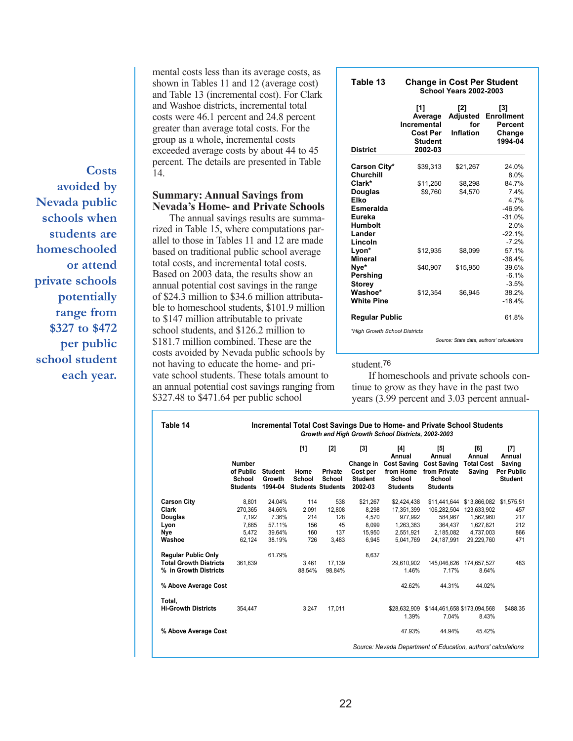shown in Tables 11 and 12 (average cost) and Table 13 (incremental cost). For Clark and Washoe districts, incremental total costs were 46.1 percent and 24.8 percent greater than average total costs. For the group as a whole, incremental costs exceeded average costs by about 44 to 45 percent. The details are presented in Table 14.

mental costs less than its average costs, as

#### **Summary: Annual Savings from Nevada's Home- and Private Schools**

The annual savings results are summarized in Table 15, where computations parallel to those in Tables 11 and 12 are made based on traditional public school average total costs, and incremental total costs. Based on 2003 data, the results show an annual potential cost savings in the range of \$24.3 million to \$34.6 million attributable to homeschool students, \$101.9 million to \$147 million attributable to private school students, and \$126.2 million to \$181.7 million combined. These are the costs avoided by Nevada public schools by not having to educate the home- and private school students. These totals amount to an annual potential cost savings ranging from \$327.48 to \$471.64 per public school

| Table 13                      | <b>Change in Cost Per Student</b>                               | <b>School Years 2002-2003</b>              |                                                          |
|-------------------------------|-----------------------------------------------------------------|--------------------------------------------|----------------------------------------------------------|
| <b>District</b>               | [1]<br>Average<br>Incremental<br>Cost Per<br>Student<br>2002-03 | [2]<br>Adjusted<br>for<br><b>Inflation</b> | [3]<br><b>Enrollment</b><br>Percent<br>Change<br>1994-04 |
|                               |                                                                 |                                            |                                                          |
| Carson City*<br>Churchill     | \$39,313                                                        | \$21,267                                   | 24.0%<br>8.0%                                            |
| Clark*                        | \$11,250                                                        | \$8,298                                    | 84.7%                                                    |
| <b>Douglas</b>                | \$9,760                                                         | \$4,570                                    | 7.4%                                                     |
| Elko                          |                                                                 |                                            | 4 7%                                                     |
| Esmeralda                     |                                                                 |                                            | $-46.9%$                                                 |
| Eureka                        |                                                                 |                                            | $-31.0%$                                                 |
| <b>Humbolt</b>                |                                                                 |                                            | 2.0%                                                     |
| Lander                        |                                                                 |                                            | $-22.1%$                                                 |
| Lincoln                       |                                                                 |                                            | $-7.2%$                                                  |
| Lyon*                         | \$12,935                                                        | \$8,099                                    | 57.1%                                                    |
| Mineral                       |                                                                 |                                            | $-36.4%$                                                 |
| Nye*                          | \$40,907                                                        | \$15,950                                   | 39.6%                                                    |
| Pershing                      |                                                                 |                                            | $-6.1%$                                                  |
| <b>Storey</b>                 |                                                                 |                                            | $-3.5%$                                                  |
| Washoe*                       | \$12,354                                                        | \$6,945                                    | 38.2%                                                    |
| <b>White Pine</b>             |                                                                 |                                            | $-18.4%$                                                 |
| <b>Regular Public</b>         |                                                                 |                                            | 61.8%                                                    |
| *High Growth School Districts |                                                                 |                                            |                                                          |

*Source: State data, authors' calculations*

#### student<sup>76</sup>

If homeschools and private schools continue to grow as they have in the past two years (3.99 percent and 3.03 percent annual-

|                               |                                                         |                                     | $[1]$          | [2]                                           | [3]                                                | [4]<br>Annual                                                | [5]<br>Annual                                                   | [6]<br>Annual               | [7]<br>Annual                                 |
|-------------------------------|---------------------------------------------------------|-------------------------------------|----------------|-----------------------------------------------|----------------------------------------------------|--------------------------------------------------------------|-----------------------------------------------------------------|-----------------------------|-----------------------------------------------|
|                               | <b>Number</b><br>of Public<br>School<br><b>Students</b> | <b>Student</b><br>Growth<br>1994-04 | Home<br>School | Private<br>School<br><b>Students Students</b> | Change in<br>Cost per<br><b>Student</b><br>2002-03 | <b>Cost Saving</b><br>from Home<br>School<br><b>Students</b> | <b>Cost Saving</b><br>from Private<br>School<br><b>Students</b> | <b>Total Cost</b><br>Saving | Saving<br><b>Per Public</b><br><b>Student</b> |
| <b>Carson City</b>            | 8,801                                                   | 24.04%                              | 114            | 538                                           | \$21,267                                           | \$2,424,438                                                  | \$11,441,644                                                    | \$13,866,082 \$1,575.51     |                                               |
| Clark                         | 270.365                                                 | 84.66%                              | 2.091          | 12.808                                        | 8.298                                              | 17,351,399                                                   | 106.282.504                                                     | 123,633,902                 | 457                                           |
| Douglas                       | 7.192                                                   | 7.36%                               | 214            | 128                                           | 4,570                                              | 977.992                                                      | 584.967                                                         | 1,562,960                   | 217                                           |
| Lyon                          | 7,685                                                   | 57.11%                              | 156            | 45                                            | 8,099                                              | 1,263,383                                                    | 364,437                                                         | 1,627,821                   | 212                                           |
| Nye                           | 5.472                                                   | 39.64%                              | 160            | 137                                           | 15,950                                             | 2,551,921                                                    | 2,185,082                                                       | 4,737,003                   | 866                                           |
| Washoe                        | 62.124                                                  | 38.19%                              | 726            | 3,483                                         | 6.945                                              | 5.041.769                                                    | 24.187.991                                                      | 29,229,760                  | 471                                           |
| <b>Regular Public Only</b>    |                                                         | 61.79%                              |                |                                               | 8.637                                              |                                                              |                                                                 |                             |                                               |
| <b>Total Growth Districts</b> | 361,639                                                 |                                     | 3,461          | 17,139                                        |                                                    | 29,610,902                                                   | 145,046,626                                                     | 174,657,527                 | 483                                           |
| % in Growth Districts         |                                                         |                                     | 88.54%         | 98.84%                                        |                                                    | 1.46%                                                        | 7.17%                                                           | 8.64%                       |                                               |
| % Above Average Cost          |                                                         |                                     |                |                                               |                                                    | 42.62%                                                       | 44.31%                                                          | 44.02%                      |                                               |
| Total.                        |                                                         |                                     |                |                                               |                                                    |                                                              |                                                                 |                             |                                               |
| <b>Hi-Growth Districts</b>    | 354.447                                                 |                                     | 3,247          | 17,011                                        |                                                    | 1.39%                                                        | \$28,632,909 \$144,461,658 \$173,094,568<br>7.04%               | 8.43%                       | \$488.35                                      |
| % Above Average Cost          |                                                         |                                     |                |                                               |                                                    | 47.93%                                                       | 44.94%                                                          | 45.42%                      |                                               |

**avoided by Nevada public schools when students are homeschooled or attend private schools potentially range from \$327 to \$472 per public school student each year.**

**Costs**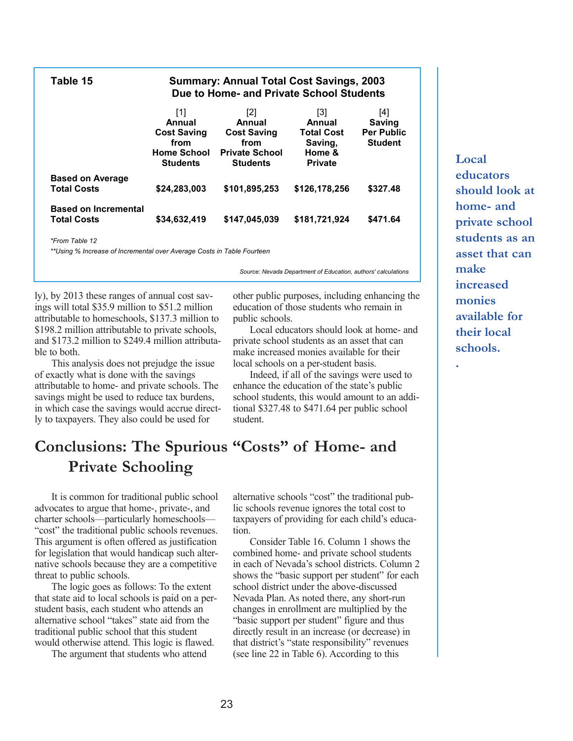| Table 15                                          |                                                                                      | <b>Summary: Annual Total Cost Savings, 2003</b><br>Due to Home- and Private School Students |                                                                           |                                                             |
|---------------------------------------------------|--------------------------------------------------------------------------------------|---------------------------------------------------------------------------------------------|---------------------------------------------------------------------------|-------------------------------------------------------------|
|                                                   | [1]<br>Annual<br><b>Cost Saving</b><br>from<br><b>Home School</b><br><b>Students</b> | [2]<br>Annual<br><b>Cost Saving</b><br>from<br><b>Private School</b><br><b>Students</b>     | [3]<br>Annual<br><b>Total Cost</b><br>Saving,<br>Home &<br><b>Private</b> | [4]<br><b>Saving</b><br><b>Per Public</b><br><b>Student</b> |
| <b>Based on Average</b><br><b>Total Costs</b>     | \$24,283,003                                                                         | \$101,895,253                                                                               | \$126,178.256                                                             | \$327.48                                                    |
| <b>Based on Incremental</b><br><b>Total Costs</b> | \$34,632,419                                                                         | \$147,045,039                                                                               | \$181.721.924                                                             | \$471.64                                                    |

*\*From Table 12*

*\*\*Using % Increase of Incremental over Average Costs in Table Fourteen*

*Source: Nevada Department of Education, authors' calculations*

ly), by 2013 these ranges of annual cost savings will total \$35.9 million to \$51.2 million attributable to homeschools, \$137.3 million to \$198.2 million attributable to private schools, and \$173.2 million to \$249.4 million attributable to both.

This analysis does not prejudge the issue of exactly what is done with the savings attributable to home- and private schools. The savings might be used to reduce tax burdens, in which case the savings would accrue directly to taxpayers. They also could be used for

other public purposes, including enhancing the education of those students who remain in public schools.

Local educators should look at home- and private school students as an asset that can make increased monies available for their local schools on a per-student basis.

Indeed, if all of the savings were used to enhance the education of the state's public school students, this would amount to an additional \$327.48 to \$471.64 per public school student.

### **Conclusions: The Spurious "Costs" of Home- and Private Schooling**

It is common for traditional public school advocates to argue that home-, private-, and charter schools—particularly homeschools— "cost" the traditional public schools revenues. This argument is often offered as justification for legislation that would handicap such alternative schools because they are a competitive threat to public schools.

The logic goes as follows: To the extent that state aid to local schools is paid on a perstudent basis, each student who attends an alternative school "takes" state aid from the traditional public school that this student would otherwise attend. This logic is flawed.

The argument that students who attend

alternative schools "cost" the traditional public schools revenue ignores the total cost to taxpayers of providing for each child's education.

Consider Table 16. Column 1 shows the combined home- and private school students in each of Nevada's school districts. Column 2 shows the "basic support per student" for each school district under the above-discussed Nevada Plan. As noted there, any short-run changes in enrollment are multiplied by the "basic support per student" figure and thus directly result in an increase (or decrease) in that district's "state responsibility" revenues (see line 22 in Table 6). According to this

**Local educators should look at home- and private school students as an asset that can make increased monies available for their local schools.**

**.**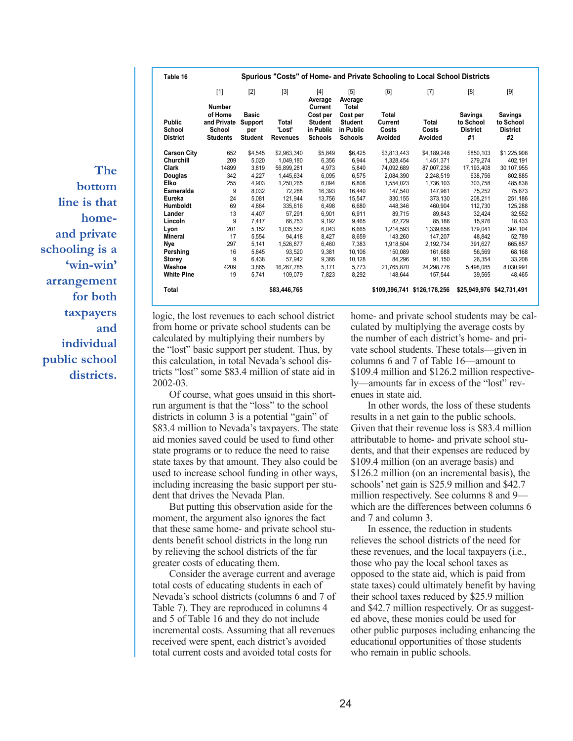**The bottom line is that homeand private schooling is a 'win-win' arrangement for both taxpayers and individual public school districts.**

|                                            | $[1]$<br><b>Number</b>                              | $[2]$                                            | $[3]$                              | $[4]$<br>Average                                                     | [5]<br>Average                                                     | [6]                                  | $[7]$                       | [8]                                                  | $[9]$                                                |
|--------------------------------------------|-----------------------------------------------------|--------------------------------------------------|------------------------------------|----------------------------------------------------------------------|--------------------------------------------------------------------|--------------------------------------|-----------------------------|------------------------------------------------------|------------------------------------------------------|
| <b>Public</b><br>School<br><b>District</b> | of Home<br>and Private<br>School<br><b>Students</b> | <b>Basic</b><br>Support<br>per<br><b>Student</b> | Total<br>'Lost'<br><b>Revenues</b> | Current<br>Cost per<br><b>Student</b><br>in Public<br><b>Schools</b> | Total<br>Cost per<br><b>Student</b><br>in Public<br><b>Schools</b> | Total<br>Current<br>Costs<br>Avoided | Total<br>Costs<br>Avoided   | <b>Savings</b><br>to School<br><b>District</b><br>#1 | <b>Savings</b><br>to School<br><b>District</b><br>#2 |
| <b>Carson City</b>                         | 652                                                 | \$4.545                                          | \$2.963.340                        | \$5.849                                                              | \$6.425                                                            | \$3,813,443                          | \$4,189,248                 | \$850.103                                            | \$1,225,908                                          |
| Churchill                                  | 209                                                 | 5.020                                            | 1.049.180                          | 6.356                                                                | 6.944                                                              | 1.328.454                            | 1.451.371                   | 279.274                                              | 402.191                                              |
| Clark                                      | 14899                                               | 3.819                                            | 56.899.281                         | 4.973                                                                | 5.840                                                              | 74,092,689                           | 87.007.236                  | 17,193,408                                           | 30, 107, 955                                         |
| <b>Douglas</b>                             | 342                                                 | 4,227                                            | 1,445,634                          | 6,095                                                                | 6,575                                                              | 2,084,390                            | 2,248,519                   | 638,756                                              | 802,885                                              |
| Elko                                       | 255                                                 | 4,903                                            | 1,250,265                          | 6.094                                                                | 6.808                                                              | 1,554,023                            | 1,736,103                   | 303.758                                              | 485.838                                              |
| Esmeralda                                  | 9                                                   | 8.032                                            | 72.288                             | 16.393                                                               | 16.440                                                             | 147.540                              | 147.961                     | 75.252                                               | 75.673                                               |
| Eureka                                     | 24                                                  | 5,081                                            | 121,944                            | 13.756                                                               | 15.547                                                             | 330,155                              | 373,130                     | 208,211                                              | 251,186                                              |
| <b>Humboldt</b>                            | 69                                                  | 4.864                                            | 335,616                            | 6.498                                                                | 6.680                                                              | 448.346                              | 460.904                     | 112.730                                              | 125,288                                              |
| Lander                                     | 13                                                  | 4.407                                            | 57,291                             | 6.901                                                                | 6.911                                                              | 89.715                               | 89.843                      | 32.424                                               | 32.552                                               |
| Lincoln                                    | 9                                                   | 7.417                                            | 66,753                             | 9.192                                                                | 9,465                                                              | 82.729                               | 85.186                      | 15.976                                               | 18.433                                               |
| Lyon                                       | 201                                                 | 5.152                                            | 1.035.552                          | 6.043                                                                | 6.665                                                              | 1.214.593                            | 1.339.656                   | 179.041                                              | 304,104                                              |
| Mineral                                    | 17                                                  | 5.554                                            | 94.418                             | 8.427                                                                | 8.659                                                              | 143.260                              | 147.207                     | 48.842                                               | 52.789                                               |
| Nye                                        | 297                                                 | 5.141                                            | 1,526,877                          | 6.460                                                                | 7.383                                                              | 1.918.504                            | 2.192.734                   | 391.627                                              | 665.857                                              |
| Pershing                                   | 16                                                  | 5.845                                            | 93,520                             | 9,381                                                                | 10,106                                                             | 150,089                              | 161,688                     | 56,569                                               | 68,168                                               |
| <b>Storey</b>                              | 9                                                   | 6,438                                            | 57,942                             | 9.366                                                                | 10,128                                                             | 84.296                               | 91.150                      | 26,354                                               | 33,208                                               |
| Washoe                                     | 4209                                                | 3.865                                            | 16,267,785                         | 5.171                                                                | 5.773                                                              | 21.765.870                           | 24.298.776                  | 5,498,085                                            | 8,030,991                                            |
| <b>White Pine</b>                          | 19                                                  | 5.741                                            | 109,079                            | 7.823                                                                | 8.292                                                              | 148.644                              | 157,544                     | 39,565                                               | 48,465                                               |
| Total                                      |                                                     |                                                  | \$83,446,765                       |                                                                      |                                                                    |                                      | \$109,396,741 \$126,178,256 |                                                      | \$25.949.976 \$42.731.491                            |

logic, the lost revenues to each school district from home or private school students can be calculated by multiplying their numbers by the "lost" basic support per student. Thus, by this calculation, in total Nevada's school districts "lost" some \$83.4 million of state aid in 2002-03.

Of course, what goes unsaid in this shortrun argument is that the "loss" to the school districts in column 3 is a potential "gain" of \$83.4 million to Nevada's taxpayers. The state aid monies saved could be used to fund other state programs or to reduce the need to raise state taxes by that amount. They also could be used to increase school funding in other ways, including increasing the basic support per student that drives the Nevada Plan.

But putting this observation aside for the moment, the argument also ignores the fact that these same home- and private school students benefit school districts in the long run by relieving the school districts of the far greater costs of educating them.

Consider the average current and average total costs of educating students in each of Nevada's school districts (columns 6 and 7 of Table 7). They are reproduced in columns 4 and 5 of Table 16 and they do not include incremental costs. Assuming that all revenues received were spent, each district's avoided total current costs and avoided total costs for

home- and private school students may be calculated by multiplying the average costs by the number of each district's home- and private school students. These totals—given in columns 6 and 7 of Table 16—amount to \$109.4 million and \$126.2 million respectively—amounts far in excess of the "lost" revenues in state aid.

In other words, the loss of these students results in a net gain to the public schools. Given that their revenue loss is \$83.4 million attributable to home- and private school students, and that their expenses are reduced by \$109.4 million (on an average basis) and \$126.2 million (on an incremental basis), the schools' net gain is \$25.9 million and \$42.7 million respectively. See columns 8 and 9 which are the differences between columns 6 and 7 and column 3.

In essence, the reduction in students relieves the school districts of the need for these revenues, and the local taxpayers (i.e., those who pay the local school taxes as opposed to the state aid, which is paid from state taxes) could ultimately benefit by having their school taxes reduced by \$25.9 million and \$42.7 million respectively. Or as suggested above, these monies could be used for other public purposes including enhancing the educational opportunities of those students who remain in public schools.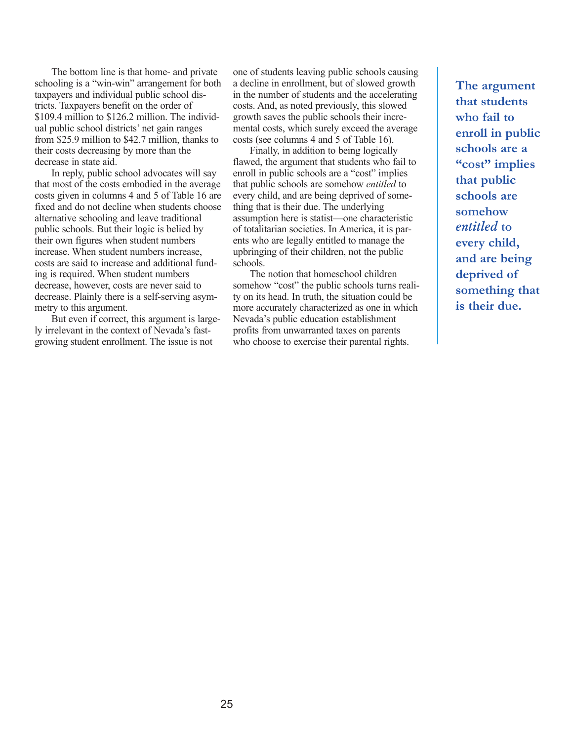The bottom line is that home- and private schooling is a "win-win" arrangement for both taxpayers and individual public school districts. Taxpayers benefit on the order of \$109.4 million to \$126.2 million. The individual public school districts' net gain ranges from \$25.9 million to \$42.7 million, thanks to their costs decreasing by more than the decrease in state aid.

In reply, public school advocates will say that most of the costs embodied in the average costs given in columns 4 and 5 of Table 16 are fixed and do not decline when students choose alternative schooling and leave traditional public schools. But their logic is belied by their own figures when student numbers increase. When student numbers increase, costs are said to increase and additional funding is required. When student numbers decrease, however, costs are never said to decrease. Plainly there is a self-serving asymmetry to this argument.

But even if correct, this argument is largely irrelevant in the context of Nevada's fastgrowing student enrollment. The issue is not

one of students leaving public schools causing a decline in enrollment, but of slowed growth in the number of students and the accelerating costs. And, as noted previously, this slowed growth saves the public schools their incremental costs, which surely exceed the average costs (see columns 4 and 5 of Table 16).

Finally, in addition to being logically flawed, the argument that students who fail to enroll in public schools are a "cost" implies that public schools are somehow *entitled* to every child, and are being deprived of something that is their due. The underlying assumption here is statist—one characteristic of totalitarian societies. In America, it is parents who are legally entitled to manage the upbringing of their children, not the public schools.

The notion that homeschool children somehow "cost" the public schools turns reality on its head. In truth, the situation could be more accurately characterized as one in which Nevada's public education establishment profits from unwarranted taxes on parents who choose to exercise their parental rights.

**The argument that students who fail to enroll in public schools are a "cost" implies that public schools are somehow**  *entitled* **to every child, and are being deprived of something that is their due.**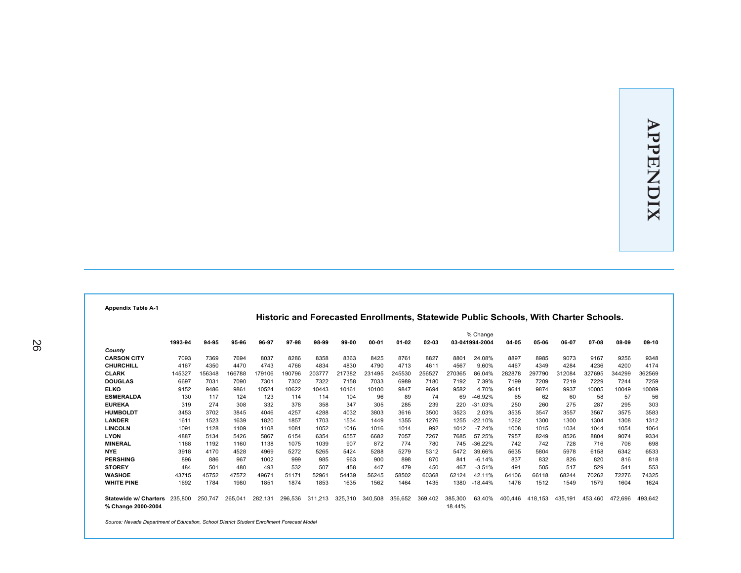**Appendix Table A-1**

| Historic and Forecasted Enrollments, Statewide Public Schools, With Charter Schools. |  |
|--------------------------------------------------------------------------------------|--|

|                              |         |         |         |         |         |             |         |           |           |         |         | % Change       |         |         |         |         |         |         |
|------------------------------|---------|---------|---------|---------|---------|-------------|---------|-----------|-----------|---------|---------|----------------|---------|---------|---------|---------|---------|---------|
|                              | 1993-94 | 94-95   | 95-96   | 96-97   | 97-98   | 98-99       | 99-00   | $00 - 01$ | $01 - 02$ | 02-03   |         | 03-041994-2004 | 04-05   | 05-06   | 06-07   | 07-08   | 08-09   | 09-10   |
| County                       |         |         |         |         |         |             |         |           |           |         |         |                |         |         |         |         |         |         |
| <b>CARSON CITY</b>           | 7093    | 7369    | 7694    | 8037    | 8286    | 8358        | 8363    | 8425      | 8761      | 8827    | 8801    | 24.08%         | 8897    | 8985    | 9073    | 9167    | 9256    | 9348    |
| CHURCHILL                    | 4167    | 4350    | 4470    | 4743    | 4766    | 4834        | 4830    | 4790      | 4713      | 4611    | 4567    | 9.60%          | 4467    | 4349    | 4284    | 4236    | 4200    | 4174    |
| <b>CLARK</b>                 | 145327  | 156348  | 166788  | 179106  | 190796  | 203777      | 217382  | 231495    | 245530    | 256527  | 270365  | 86.04%         | 282878  | 297790  | 312084  | 327695  | 344299  | 362569  |
| <b>DOUGLAS</b>               | 6697    | 7031    | 7090    | 7301    | 7302    | 7322        | 7158    | 7033      | 6989      | 7180    | 7192    | 7.39%          | 7199    | 7209    | 7219    | 7229    | 7244    | 7259    |
| <b>ELKO</b>                  | 9152    | 9486    | 9861    | 10524   | 10622   | 10443       | 10161   | 10100     | 9847      | 9694    | 9582    | 4.70%          | 9641    | 9874    | 9937    | 10005   | 10049   | 10089   |
| <b>ESMERALDA</b>             | 130     | 117     | 124     | 123     | 114     | 114         | 104     | 96        | 89        | 74      | 69      | $-46.92%$      | 65      | 62      | 60      | 58      | 57      | 56      |
| <b>EUREKA</b>                | 319     | 274     | 308     | 332     | 378     | 358         | 347     | 305       | 285       | 239     | 220     | $-31.03%$      | 250     | 260     | 275     | 287     | 295     | 303     |
| <b>HUMBOLDT</b>              | 3453    | 3702    | 3845    | 4046    | 4257    | 4288        | 4032    | 3803      | 3616      | 3500    | 3523    | 2.03%          | 3535    | 3547    | 3557    | 3567    | 3575    | 3583    |
| <b>LANDER</b>                | 1611    | 1523    | 1639    | 1820    | 1857    | 1703        | 1534    | 1449      | 1355      | 1276    | 1255    | $-22.10%$      | 1262    | 1300    | 1300    | 1304    | 1308    | 1312    |
| <b>LINCOLN</b>               | 1091    | 1128    | 1109    | 1108    | 1081    | 1052        | 1016    | 1016      | 1014      | 992     | 1012    | $-7.24%$       | 1008    | 1015    | 1034    | 1044    | 1054    | 1064    |
| <b>LYON</b>                  | 4887    | 5134    | 5426    | 5867    | 6154    | 6354        | 6557    | 6682      | 7057      | 7267    | 7685    | 57.25%         | 7957    | 8249    | 8526    | 8804    | 9074    | 9334    |
| <b>MINERAL</b>               | 1168    | 1192    | 1160    | 1138    | 1075    | 1039        | 907     | 872       | 774       | 780     | 745     | $-36.22%$      | 742     | 742     | 728     | 716     | 706     | 698     |
| <b>NYE</b>                   | 3918    | 4170    | 4528    | 4969    | 5272    | 5265        | 5424    | 5288      | 5279      | 5312    | 5472    | 39.66%         | 5635    | 5804    | 5978    | 6158    | 6342    | 6533    |
| <b>PERSHING</b>              | 896     | 886     | 967     | 1002    | 999     | 985         | 963     | 900       | 898       | 870     | 841     | $-6.14%$       | 837     | 832     | 826     | 820     | 816     | 818     |
| <b>STOREY</b>                | 484     | 501     | 480     | 493     | 532     | 507         | 458     | 447       | 479       | 450     | 467     | $-3.51%$       | 491     | 505     | 517     | 529     | 541     | 553     |
| <b>WASHOE</b>                | 43715   | 45752   | 47572   | 49671   | 51171   | 52961       | 54439   | 56245     | 58502     | 60368   | 62124   | 42.11%         | 64106   | 66118   | 68244   | 70262   | 72276   | 74325   |
| <b>WHITE PINE</b>            |         |         |         |         |         |             | 1635    |           |           |         |         |                |         |         |         | 1579    |         | 1624    |
|                              | 1692    | 1784    | 1980    | 1851    | 1874    | 1853        |         | 1562      | 1464      | 1435    | 1380    | $-18.44%$      | 1476    | 1512    | 1549    |         | 1604    |         |
| <b>Statewide w/ Charters</b> | 235,800 | 250.747 | 265.041 | 282.131 | 296.536 | .213<br>311 | 325.310 | 340,508   | 356.652   | 369.402 | 385,300 | 63.40%         | 400.446 | 418.153 | 435.191 | 453.460 | 472.696 | 493.642 |
| % Change 2000-2004           |         |         |         |         |         |             |         |           |           |         | 18.44%  |                |         |         |         |         |         |         |

*Source: Nevada Department of Education, School District Student Enrollment Forecast Model*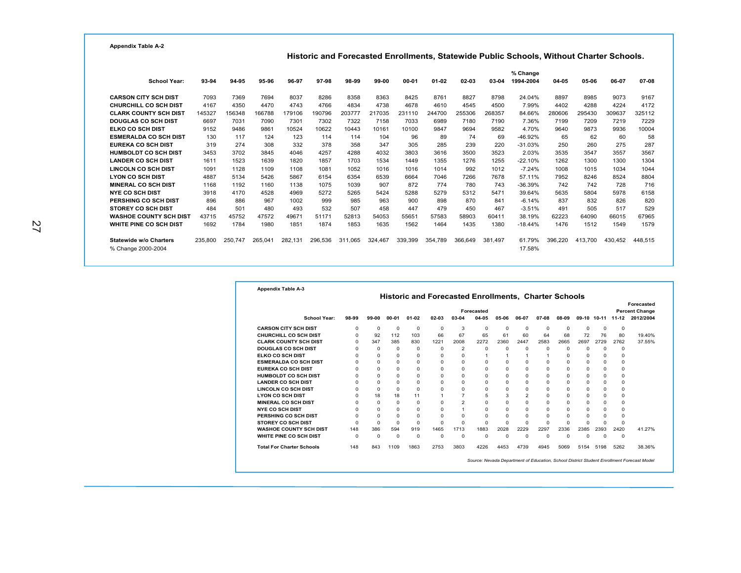**Historic and Forecasted Enrollments, Statewide Public Schools, Without Charter Schools.**

|                               |         |         |         |         |         |         |         |           |           |         |         | % Change  |         |         |         |         |
|-------------------------------|---------|---------|---------|---------|---------|---------|---------|-----------|-----------|---------|---------|-----------|---------|---------|---------|---------|
| <b>School Year:</b>           | 93-94   | 94-95   | 95-96   | 96-97   | 97-98   | 98-99   | 99-00   | $00 - 01$ | $01 - 02$ | 02-03   | 03-04   | 1994-2004 | 04-05   | 05-06   | 06-07   | 07-08   |
| <b>CARSON CITY SCH DIST</b>   | 7093    | 7369    | 7694    | 8037    | 8286    | 8358    | 8363    | 8425      | 8761      | 8827    | 8798    | 24.04%    | 8897    | 8985    | 9073    | 9167    |
| CHURCHILL CO SCH DIST         | 4167    | 4350    | 4470    | 4743    | 4766    | 4834    | 4738    | 4678      | 4610      | 4545    | 4500    | 7.99%     | 4402    | 4288    | 4224    | 4172    |
| <b>CLARK COUNTY SCH DIST</b>  | 145327  | 156348  | 166788  | 179106  | 190796  | 203777  | 217035  | 231110    | 244700    | 255306  | 268357  | 84.66%    | 280606  | 295430  | 309637  | 325112  |
| <b>DOUGLAS CO SCH DIST</b>    | 6697    | 7031    | 7090    | 7301    | 7302    | 7322    | 7158    | 7033      | 6989      | 7180    | 7190    | 7.36%     | 7199    | 7209    | 7219    | 7229    |
| ELKO CO SCH DIST              | 9152    | 9486    | 9861    | 10524   | 10622   | 10443   | 10161   | 10100     | 9847      | 9694    | 9582    | 4.70%     | 9640    | 9873    | 9936    | 10004   |
| <b>ESMERALDA CO SCH DIST</b>  | 130     | 117     | 124     | 123     | 114     | 114     | 104     | 96        | 89        | 74      | 69      | $-46.92%$ | 65      | 62      | 60      | 58      |
| <b>EUREKA CO SCH DIST</b>     | 319     | 274     | 308     | 332     | 378     | 358     | 347     | 305       | 285       | 239     | 220     | $-31.03%$ | 250     | 260     | 275     | 287     |
| <b>HUMBOLDT CO SCH DIST</b>   | 3453    | 3702    | 3845    | 4046    | 4257    | 4288    | 4032    | 3803      | 3616      | 3500    | 3523    | 2.03%     | 3535    | 3547    | 3557    | 3567    |
| <b>LANDER CO SCH DIST</b>     | 1611    | 1523    | 1639    | 1820    | 1857    | 1703    | 1534    | 1449      | 1355      | 1276    | 1255    | $-22.10%$ | 1262    | 1300    | 1300    | 1304    |
| <b>LINCOLN CO SCH DIST</b>    | 1091    | 1128    | 1109    | 1108    | 1081    | 1052    | 1016    | 1016      | 1014      | 992     | 1012    | $-7.24%$  | 1008    | 1015    | 1034    | 1044    |
| <b>LYON CO SCH DIST</b>       | 4887    | 5134    | 5426    | 5867    | 6154    | 6354    | 6539    | 6664      | 7046      | 7266    | 7678    | 57.11%    | 7952    | 8246    | 8524    | 8804    |
| <b>MINERAL CO SCH DIST</b>    | 1168    | 1192    | 1160    | 1138    | 1075    | 1039    | 907     | 872       | 774       | 780     | 743     | $-36.39%$ | 742     | 742     | 728     | 716     |
| <b>NYE CO SCH DIST</b>        | 3918    | 4170    | 4528    | 4969    | 5272    | 5265    | 5424    | 5288      | 5279      | 5312    | 5471    | 39.64%    | 5635    | 5804    | 5978    | 6158    |
| PERSHING CO SCH DIST          | 896     | 886     | 967     | 1002    | 999     | 985     | 963     | 900       | 898       | 870     | 841     | $-6.14%$  | 837     | 832     | 826     | 820     |
| <b>STOREY CO SCH DIST</b>     | 484     | 501     | 480     | 493     | 532     | 507     | 458     | 447       | 479       | 450     | 467     | $-3.51%$  | 491     | 505     | 517     | 529     |
| <b>WASHOE COUNTY SCH DIST</b> | 43715   | 45752   | 47572   | 49671   | 51171   | 52813   | 54053   | 55651     | 57583     | 58903   | 60411   | 38.19%    | 62223   | 64090   | 66015   | 67965   |
| WHITE PINE CO SCH DIST        | 1692    | 1784    | 1980    | 1851    | 1874    | 1853    | 1635    | 1562      | 1464      | 1435    | 1380    | $-18.44%$ | 1476    | 1512    | 1549    | 1579    |
| Statewide w/o Charters        | 235,800 | 250.747 | 265.041 | 282.131 | 296.536 | 311.065 | 324.467 | 339.399   | 354.789   | 366.649 | 381.497 | 61.79%    | 396.220 | 413.700 | 430.452 | 448.515 |
| % Change 2000-2004            |         |         |         |         |         |         |         |           |           |         |         | 17.58%    |         |         |         |         |

|                                  |          |          |           |           |              |                | Forecasted |          |                |          |          |          |             |           | Forecasted                         |
|----------------------------------|----------|----------|-----------|-----------|--------------|----------------|------------|----------|----------------|----------|----------|----------|-------------|-----------|------------------------------------|
| School Year:                     | 98-99    | 99-00    | $00 - 01$ | $01 - 02$ | 02-03        | 03-04          | $04 - 05$  | 05-06    | 06-07          | 07-08    | 08-09    |          | 09-10 10-11 | $11 - 12$ | <b>Percent Change</b><br>2012/2004 |
| <b>CARSON CITY SCH DIST</b>      | $\Omega$ | $\Omega$ | $\Omega$  | $\Omega$  | $\Omega$     | 3              | $\Omega$   | $\Omega$ | $\Omega$       | $\Omega$ | $\Omega$ | $\Omega$ | $\Omega$    | 0         |                                    |
| CHURCHILL CO SCH DIST            | $\Omega$ | 92       | 112       | 103       | 66           | 67             | 65         | 61       | 60             | 64       | 68       | 72       | 76          | 80        | 19.40%                             |
| <b>CLARK COUNTY SCH DIST</b>     | $\Omega$ | 347      | 385       | 830       | 1221         | 2008           | 2272       | 2360     | 2447           | 2583     | 2665     | 2697     | 2729        | 2762      | 37.55%                             |
| <b>DOUGLAS CO SCH DIST</b>       | $\Omega$ | $\Omega$ | $\Omega$  | $\Omega$  | $\Omega$     | 2              | $\Omega$   | 0        | $\Omega$       | $\Omega$ | $\Omega$ | $\Omega$ | $\Omega$    | $\Omega$  |                                    |
| ELKO CO SCH DIST                 | $\Omega$ | $\Omega$ | $\Omega$  | $\Omega$  | $\Omega$     | 0              | 1          | 1        | 1              | 1        | $\Omega$ | $\Omega$ | $\Omega$    | $\Omega$  |                                    |
| <b>ESMERALDA CO SCH DIST</b>     | $\Omega$ | $\Omega$ | $\Omega$  | $\Omega$  | $\Omega$     | $\Omega$       | $\Omega$   | $\Omega$ | $\Omega$       | 0        | $\Omega$ | $\Omega$ | $\Omega$    | $\Omega$  |                                    |
| <b>EUREKA CO SCH DIST</b>        | $\Omega$ | $\Omega$ | $\Omega$  | $\Omega$  | $\Omega$     | $\Omega$       | $\Omega$   | $\Omega$ | $\Omega$       | $\Omega$ | $\Omega$ | $\Omega$ | $\Omega$    | $\Omega$  |                                    |
| <b>HUMBOLDT CO SCH DIST</b>      | $\Omega$ | $\Omega$ | $\Omega$  | $\Omega$  | $\Omega$     | 0              | $\Omega$   | 0        | $\Omega$       | $\Omega$ | $\Omega$ | $\Omega$ | $\Omega$    | $\circ$   |                                    |
| <b>LANDER CO SCH DIST</b>        | $\Omega$ | $\Omega$ | $\Omega$  | $\Omega$  | $\Omega$     | $\Omega$       | $\Omega$   | $\Omega$ | $\Omega$       | $\Omega$ | $\Omega$ | $\Omega$ | $\Omega$    | $\Omega$  |                                    |
| <b>LINCOLN CO SCH DIST</b>       | $\Omega$ | $\Omega$ | $\Omega$  | $\Omega$  | $\Omega$     | $\Omega$       | $\Omega$   | $\Omega$ | $\Omega$       | $\Omega$ | $\Omega$ | $\Omega$ | $\Omega$    | $\Omega$  |                                    |
| <b>LYON CO SCH DIST</b>          | $\Omega$ | 18       | 18        | 11        | $\mathbf{1}$ | $\overline{7}$ | 5          | 3        | $\overline{a}$ | $\Omega$ | $\Omega$ | $\Omega$ | $\Omega$    | $\Omega$  |                                    |
| <b>MINERAL CO SCH DIST</b>       | $\Omega$ | $\Omega$ | $\Omega$  | $\Omega$  | $\Omega$     | $\overline{2}$ | $\Omega$   | $\Omega$ | $\Omega$       | $\Omega$ | $\Omega$ | $\Omega$ | $\Omega$    | $\Omega$  |                                    |
| <b>NYE CO SCH DIST</b>           | $\Omega$ | $\Omega$ | $\Omega$  | $\Omega$  | $\Omega$     | $\mathbf{1}$   | $\Omega$   | 0        | $\Omega$       | 0        | $\Omega$ | $\Omega$ | $\Omega$    | $\Omega$  |                                    |
| PERSHING CO SCH DIST             | $\Omega$ | $\Omega$ | $\Omega$  | $\Omega$  | $\Omega$     | $\Omega$       | $\Omega$   | $\Omega$ | $\Omega$       | $\Omega$ | $\Omega$ | $\Omega$ | $\Omega$    | $\Omega$  |                                    |
| <b>STOREY CO SCH DIST</b>        | $\Omega$ | $\Omega$ | $\Omega$  | $\Omega$  | $\Omega$     | $\Omega$       | $\Omega$   | $\Omega$ | $\Omega$       | $\Omega$ | $\Omega$ | $\Omega$ | $\Omega$    | $\Omega$  |                                    |
| <b>WASHOE COUNTY SCH DIST</b>    | 148      | 386      | 594       | 919       | 1465         | 1713           | 1883       | 2028     | 2229           | 2297     | 2336     | 2385     | 2393        | 2420      | 41.27%                             |
| WHITE PINE CO SCH DIST           | $\Omega$ | $\Omega$ | $\Omega$  | $\Omega$  | $\Omega$     | $\Omega$       | $\Omega$   | $\Omega$ | $\Omega$       | $\Omega$ | $\Omega$ | $\Omega$ | n           | $\Omega$  |                                    |
| <b>Total For Charter Schools</b> | 148      | 843      | 1109      | 1863      | 2753         | 3803           | 4226       | 4453     | 4739           | 4945     | 5069     | 5154     | 5198        | 5262      | 38.36%                             |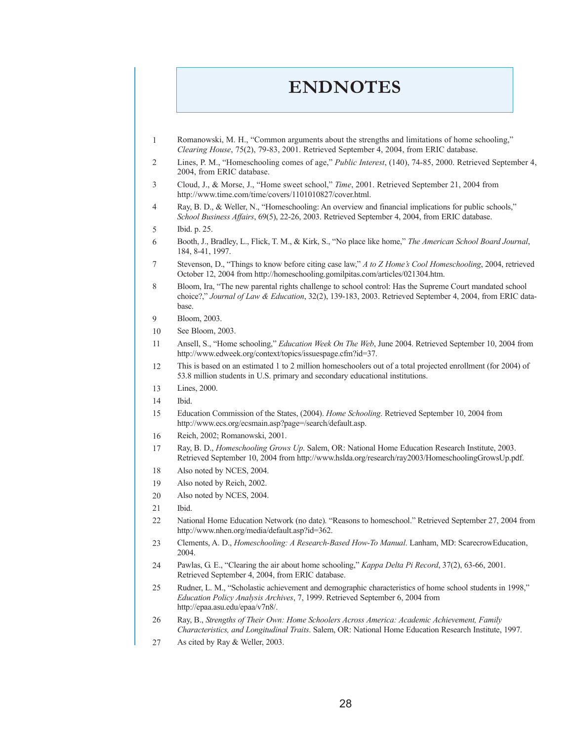### **ENDNOTES**

- Romanowski, M. H., "Common arguments about the strengths and limitations of home schooling," *Clearing House*, 75(2), 79-83, 2001. Retrieved September 4, 2004, from ERIC database. 1
- Lines, P. M., "Homeschooling comes of age," *Public Interest*, (140), 74-85, 2000. Retrieved September 4, 2004, from ERIC database. 2
- Cloud, J., & Morse, J., "Home sweet school," *Time*, 2001. Retrieved September 21, 2004 from http://www.time.com/time/covers/1101010827/cover.html. 3
- Ray, B. D., & Weller, N., "Homeschooling: An overview and financial implications for public schools," *School Business Affairs*, 69(5), 22-26, 2003. Retrieved September 4, 2004, from ERIC database. 4
- Ibid. p. 25. 5
- Booth, J., Bradley, L., Flick, T. M., & Kirk, S., "No place like home," *The American School Board Journal*, 184, 8-41, 1997. 6
- Stevenson, D., "Things to know before citing case law," *A to Z Home's Cool Homeschooling*, 2004, retrieved October 12, 2004 from http://homeschooling.gomilpitas.com/articles/021304.htm. 7
- Bloom, Ira, "The new parental rights challenge to school control: Has the Supreme Court mandated school choice?," *Journal of Law & Education*, 32(2), 139-183, 2003. Retrieved September 4, 2004, from ERIC database. 8
- Bloom, 2003. 9
- See Bloom, 2003. 10
- Ansell, S., "Home schooling," *Education Week On The Web*, June 2004. Retrieved September 10, 2004 from http://www.edweek.org/context/topics/issuespage.cfm?id=37. 11
- This is based on an estimated 1 to 2 million homeschoolers out of a total projected enrollment (for 2004) of 53.8 million students in U.S. primary and secondary educational institutions. 12
- Lines, 2000. 13
- Ibid. 14
- Education Commission of the States, (2004). *Home Schooling*. Retrieved September 10, 2004 from http://www.ecs.org/ecsmain.asp?page=/search/default.asp. 15
- Reich, 2002; Romanowski, 2001. 16
- Ray, B. D., *Homeschooling Grows Up*. Salem, OR: National Home Education Research Institute, 2003. Retrieved September 10, 2004 from http://www.hslda.org/research/ray2003/HomeschoolingGrowsUp.pdf. 17
- Also noted by NCES, 2004. 18
- Also noted by Reich, 2002. 19
- Also noted by NCES, 2004. 20
- Ibid. 21
- National Home Education Network (no date). "Reasons to homeschool." Retrieved September 27, 2004 from http://www.nhen.org/media/default.asp?id=362. 22
- Clements, A. D., *Homeschooling: A Research-Based How-To Manual*. Lanham, MD: ScarecrowEducation, 2004. 23
- Pawlas, G. E., "Clearing the air about home schooling," *Kappa Delta Pi Record*, 37(2), 63-66, 2001. Retrieved September 4, 2004, from ERIC database. 24
- Rudner, L. M., "Scholastic achievement and demographic characteristics of home school students in 1998," *Education Policy Analysis Archives*, 7, 1999. Retrieved September 6, 2004 from http://epaa.asu.edu/epaa/v7n8/. 25
- Ray, B., *Strengths of Their Own: Home Schoolers Across America: Academic Achievement, Family Characteristics, and Longitudinal Traits*. Salem, OR: National Home Education Research Institute, 1997. 26
- As cited by Ray & Weller, 2003. 27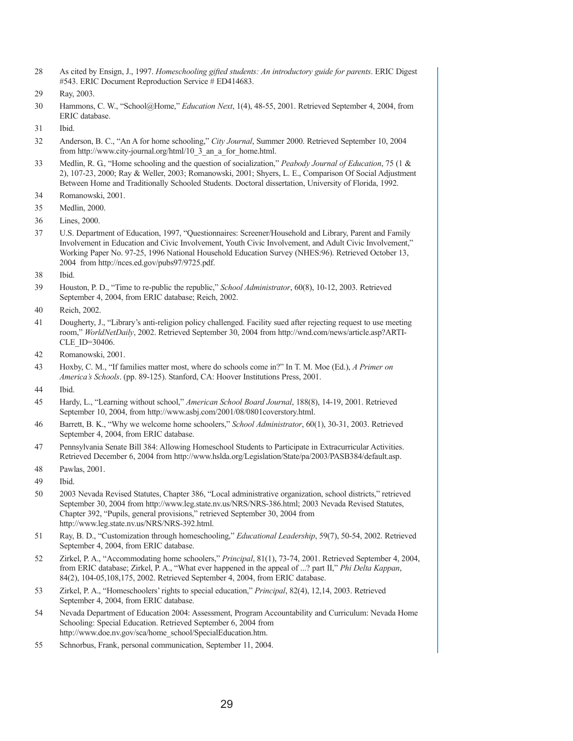- As cited by Ensign, J., 1997. *Homeschooling gifted students: An introductory guide for parents*. ERIC Digest #543. ERIC Document Reproduction Service # ED414683. 28
- Ray, 2003. 29
- Hammons, C. W., "School@Home," *Education Next*, 1(4), 48-55, 2001. Retrieved September 4, 2004, from ERIC database. 30
- Ibid. 31
- Anderson, B. C., "An A for home schooling," *City Journal*, Summer 2000. Retrieved September 10, 2004 from http://www.city-journal.org/html/10\_3\_an\_a\_for\_home.html. 32
- Medlin, R. G., "Home schooling and the question of socialization," *Peabody Journal of Education*, 75 (1 & 2), 107-23, 2000; Ray & Weller, 2003; Romanowski, 2001; Shyers, L. E., Comparison Of Social Adjustment Between Home and Traditionally Schooled Students. Doctoral dissertation, University of Florida, 1992. 33
- Romanowski, 2001. 34
- Medlin, 2000. 35
- Lines, 2000. 36
- U.S. Department of Education, 1997, "Questionnaires: Screener/Household and Library, Parent and Family Involvement in Education and Civic Involvement, Youth Civic Involvement, and Adult Civic Involvement," Working Paper No. 97-25, 1996 National Household Education Survey (NHES:96). Retrieved October 13, 2004 from http://nces.ed.gov/pubs97/9725.pdf. 37
- Ibid. 38
- Houston, P. D., "Time to re-public the republic," *School Administrator*, 60(8), 10-12, 2003. Retrieved September 4, 2004, from ERIC database; Reich, 2002. 39
- Reich, 2002. 40
- Dougherty, J., "Library's anti-religion policy challenged. Facility sued after rejecting request to use meeting room," *WorldNetDaily*, 2002. Retrieved September 30, 2004 from http://wnd.com/news/article.asp?ARTI-CLE ID=30406. 41
- Romanowski, 2001. 42
- Hoxby, C. M., "If families matter most, where do schools come in?" In T. M. Moe (Ed.), *A Primer on America's Schools*. (pp. 89-125). Stanford, CA: Hoover Institutions Press, 2001. 43
- Ibid. 44
- Hardy, L., "Learning without school," *American School Board Journal*, 188(8), 14-19, 2001. Retrieved September 10, 2004, from http://www.asbj.com/2001/08/0801coverstory.html. 45
- Barrett, B. K., "Why we welcome home schoolers," *School Administrator*, 60(1), 30-31, 2003. Retrieved September 4, 2004, from ERIC database. 46
- Pennsylvania Senate Bill 384: Allowing Homeschool Students to Participate in Extracurricular Activities. Retrieved December 6, 2004 from http://www.hslda.org/Legislation/State/pa/2003/PASB384/default.asp. 47
- Pawlas, 2001. 48
- Ibid. 49
- 2003 Nevada Revised Statutes, Chapter 386, "Local administrative organization, school districts," retrieved September 30, 2004 from http://www.leg.state.nv.us/NRS/NRS-386.html; 2003 Nevada Revised Statutes, Chapter 392, "Pupils, general provisions," retrieved September 30, 2004 from http://www.leg.state.nv.us/NRS/NRS-392.html. 50
- Ray, B. D., "Customization through homeschooling," *Educational Leadership*, 59(7), 50-54, 2002. Retrieved September 4, 2004, from ERIC database. 51
- Zirkel, P. A., "Accommodating home schoolers," *Principal*, 81(1), 73-74, 2001. Retrieved September 4, 2004, from ERIC database; Zirkel, P. A., "What ever happened in the appeal of ...? part II," *Phi Delta Kappan*, 84(2), 104-05,108,175, 2002. Retrieved September 4, 2004, from ERIC database. 52
- Zirkel, P. A., "Homeschoolers' rights to special education," *Principal*, 82(4), 12,14, 2003. Retrieved September 4, 2004, from ERIC database. 53
- Nevada Department of Education 2004: Assessment, Program Accountability and Curriculum: Nevada Home Schooling: Special Education. Retrieved September 6, 2004 from http://www.doe.nv.gov/sca/home\_school/SpecialEducation.htm. 54
- Schnorbus, Frank, personal communication, September 11, 2004. 55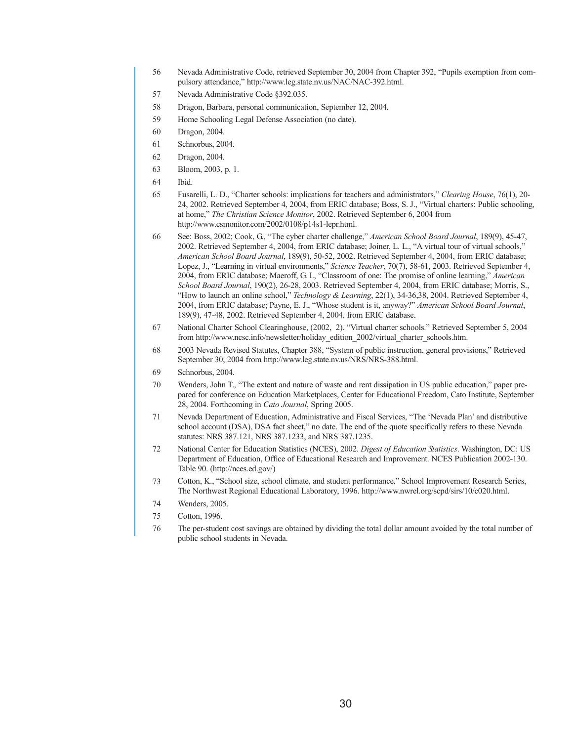- Nevada Administrative Code, retrieved September 30, 2004 from Chapter 392, "Pupils exemption from compulsory attendance," http://www.leg.state.nv.us/NAC/NAC-392.html. 56
- Nevada Administrative Code §392.035. 57
- Dragon, Barbara, personal communication, September 12, 2004. 58
- Home Schooling Legal Defense Association (no date). 59
- Dragon, 2004. 60
- Schnorbus, 2004. 61
- Dragon, 2004. 62
- Bloom, 2003, p. 1. 63
- Ibid. 64
- Fusarelli, L. D., "Charter schools: implications for teachers and administrators," *Clearing House*, 76(1), 20- 24, 2002. Retrieved September 4, 2004, from ERIC database; Boss, S. J., "Virtual charters: Public schooling, at home," *The Christian Science Monitor*, 2002. Retrieved September 6, 2004 from http://www.csmonitor.com/2002/0108/p14s1-lepr.html. 65
- See: Boss, 2002; Cook, G., "The cyber charter challenge," *American School Board Journal*, 189(9), 45-47, 2002. Retrieved September 4, 2004, from ERIC database; Joiner, L. L., "A virtual tour of virtual schools," *American School Board Journal*, 189(9), 50-52, 2002. Retrieved September 4, 2004, from ERIC database; Lopez, J., "Learning in virtual environments," *Science Teacher*, 70(7), 58-61, 2003. Retrieved September 4, 2004, from ERIC database; Maeroff, G. I., "Classroom of one: The promise of online learning," *American School Board Journal*, 190(2), 26-28, 2003. Retrieved September 4, 2004, from ERIC database; Morris, S., "How to launch an online school," *Technology & Learning*, 22(1), 34-36,38, 2004. Retrieved September 4, 2004, from ERIC database; Payne, E. J., "Whose student is it, anyway?" *American School Board Journal*, 189(9), 47-48, 2002. Retrieved September 4, 2004, from ERIC database. 66
- National Charter School Clearinghouse, (2002, 2). "Virtual charter schools." Retrieved September 5, 2004 from http://www.ncsc.info/newsletter/holiday\_edition\_2002/virtual\_charter\_schools.htm. 67
- 2003 Nevada Revised Statutes, Chapter 388, "System of public instruction, general provisions," Retrieved September 30, 2004 from http://www.leg.state.nv.us/NRS/NRS-388.html. 68
- Schnorbus, 2004. 69
- Wenders, John T., "The extent and nature of waste and rent dissipation in US public education," paper prepared for conference on Education Marketplaces, Center for Educational Freedom, Cato Institute, September 28, 2004. Forthcoming in *Cato Journal*, Spring 2005. 70
- Nevada Department of Education, Administrative and Fiscal Services, "The 'Nevada Plan' and distributive school account (DSA), DSA fact sheet," no date. The end of the quote specifically refers to these Nevada statutes: NRS 387.121, NRS 387.1233, and NRS 387.1235. 71
- National Center for Education Statistics (NCES), 2002. *Digest of Education Statistics*. Washington, DC: US Department of Education, Office of Educational Research and Improvement. NCES Publication 2002-130. Table 90. (http://nces.ed.gov/) 72
- Cotton, K., "School size, school climate, and student performance," School Improvement Research Series, The Northwest Regional Educational Laboratory, 1996. http://www.nwrel.org/scpd/sirs/10/c020.html. 73
- Wenders, 2005. 74
- Cotton, 1996. 75
- The per-student cost savings are obtained by dividing the total dollar amount avoided by the total number of public school students in Nevada. 76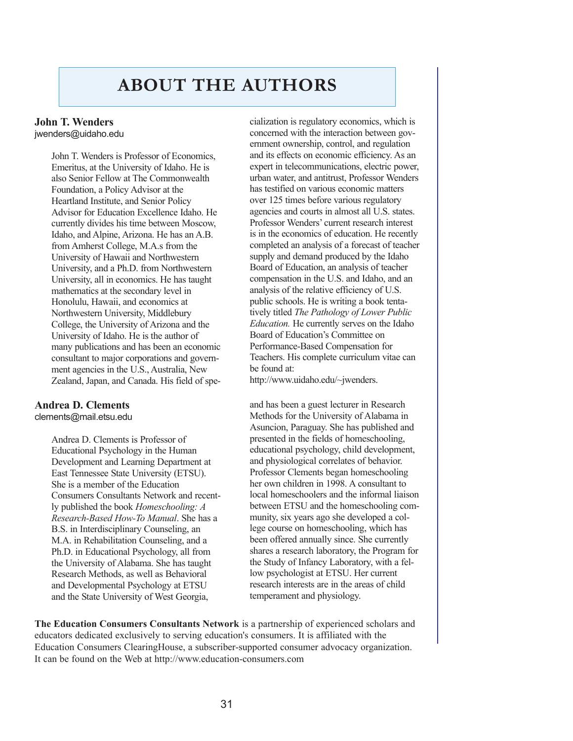### **ABOUT THE AUTHORS**

#### **John T. Wenders** jwenders@uidaho.edu

John T. Wenders is Professor of Economics, Emeritus, at the University of Idaho. He is also Senior Fellow at The Commonwealth Foundation, a Policy Advisor at the Heartland Institute, and Senior Policy Advisor for Education Excellence Idaho. He currently divides his time between Moscow, Idaho, and Alpine, Arizona. He has an A.B. from Amherst College, M.A.s from the University of Hawaii and Northwestern University, and a Ph.D. from Northwestern University, all in economics. He has taught mathematics at the secondary level in Honolulu, Hawaii, and economics at Northwestern University, Middlebury College, the University of Arizona and the University of Idaho. He is the author of many publications and has been an economic consultant to major corporations and government agencies in the U.S., Australia, New Zealand, Japan, and Canada. His field of spe-

#### **Andrea D. Clements**

clements@mail.etsu.edu

Andrea D. Clements is Professor of Educational Psychology in the Human Development and Learning Department at East Tennessee State University (ETSU). She is a member of the Education Consumers Consultants Network and recently published the book *Homeschooling: A Research-Based How-To Manual*. She has a B.S. in Interdisciplinary Counseling, an M.A. in Rehabilitation Counseling, and a Ph.D. in Educational Psychology, all from the University of Alabama. She has taught Research Methods, as well as Behavioral and Developmental Psychology at ETSU and the State University of West Georgia,

cialization is regulatory economics, which is concerned with the interaction between government ownership, control, and regulation and its effects on economic efficiency. As an expert in telecommunications, electric power, urban water, and antitrust, Professor Wenders has testified on various economic matters over 125 times before various regulatory agencies and courts in almost all U.S. states. Professor Wenders' current research interest is in the economics of education. He recently completed an analysis of a forecast of teacher supply and demand produced by the Idaho Board of Education, an analysis of teacher compensation in the U.S. and Idaho, and an analysis of the relative efficiency of U.S. public schools. He is writing a book tentatively titled *The Pathology of Lower Public Education.* He currently serves on the Idaho Board of Education's Committee on Performance-Based Compensation for Teachers. His complete curriculum vitae can be found at:

http://www.uidaho.edu/~jwenders.

and has been a guest lecturer in Research Methods for the University of Alabama in Asuncion, Paraguay. She has published and presented in the fields of homeschooling, educational psychology, child development, and physiological correlates of behavior. Professor Clements began homeschooling her own children in 1998. A consultant to local homeschoolers and the informal liaison between ETSU and the homeschooling community, six years ago she developed a college course on homeschooling, which has been offered annually since. She currently shares a research laboratory, the Program for the Study of Infancy Laboratory, with a fellow psychologist at ETSU. Her current research interests are in the areas of child temperament and physiology.

**The Education Consumers Consultants Network** is a partnership of experienced scholars and educators dedicated exclusively to serving education's consumers. It is affiliated with the Education Consumers ClearingHouse, a subscriber-supported consumer advocacy organization. It can be found on the Web at http://www.education-consumers.com